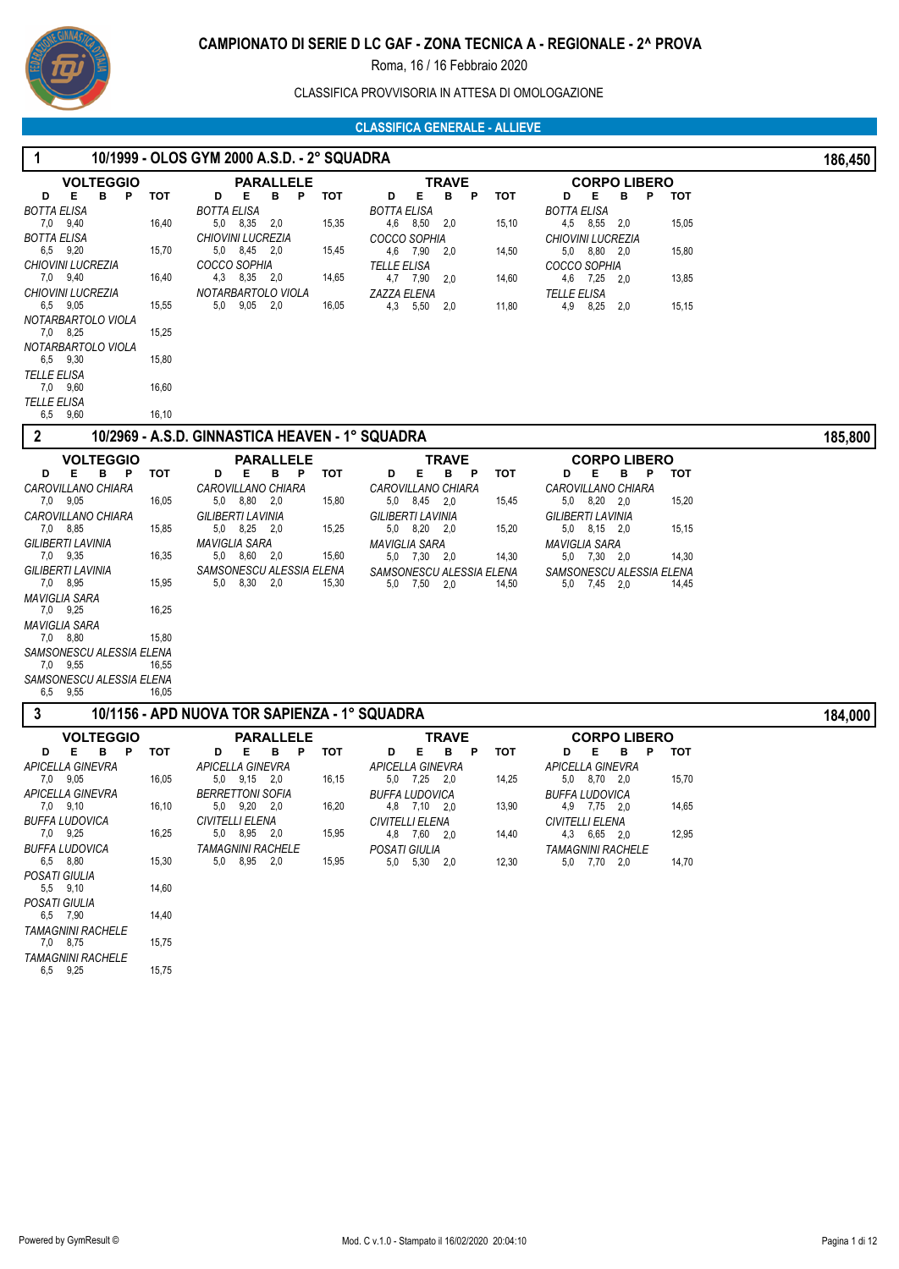

# CLASSIFICA PROVVISORIA IN ATTESA DI OMOLOGAZIONE

| 1                                             |                | 10/1999 - OLOS GYM 2000 A.S.D. - 2° SQUADRA     |       |                                          |            |                                                 |       | 186,450 |
|-----------------------------------------------|----------------|-------------------------------------------------|-------|------------------------------------------|------------|-------------------------------------------------|-------|---------|
| <b>VOLTEGGIO</b><br>в<br>D<br>Е<br>P          | тот            | <b>PARALLELE</b><br>D<br>Е<br>в<br>P            | тот   | <b>TRAVE</b><br>Е<br>в<br>D<br>P         | <b>TOT</b> | <b>CORPO LIBERO</b><br>D<br>Е<br>в<br>P         | тот   |         |
| BOTTA ELISA<br>7,0 9,40                       | 16,40          | <b>BOTTA ELISA</b><br>5,0 8,35 2,0              | 15,35 | BOTTA ELISA<br>4,6 8,50 2,0              | 15,10      | BOTTA ELISA<br>4,5 8,55 2,0                     | 15,05 |         |
| BOTTA ELISA<br>6,5 9,20                       | 15,70          | <b>CHIOVINI LUCREZIA</b><br>5,0 8,45 2,0        | 15,45 | COCCO SOPHIA<br>4,6 7,90 2,0             | 14,50      | <b>CHIOVINI LUCREZIA</b><br>5,0 8,80 2,0        | 15,80 |         |
| CHIOVINI LUCREZIA<br>7,0 9,40                 | 16,40          | COCCO SOPHIA<br>4,3 8,35 2,0                    | 14,65 | TELLE ELISA<br>4,7 7,90<br>2,0           | 14,60      | COCCO SOPHIA<br>4,6 7,25 2,0                    | 13,85 |         |
| CHIOVINI LUCREZIA<br>6,5 9,05                 | 15,55          | NOTARBARTOLO VIOLA<br>$5,0$ $9,05$ $2,0$        | 16,05 | ZAZZA ELENA<br>4,3 5,50<br>2,0           | 11,80      | TELLE ELISA<br>4,9<br>8,25 2,0                  | 15,15 |         |
| NOTARBARTOLO VIOLA<br>7,0 8,25                | 15,25          |                                                 |       |                                          |            |                                                 |       |         |
| NOTARBARTOLO VIOLA<br>6,5 9,30<br>TELLE ELISA | 15,80          |                                                 |       |                                          |            |                                                 |       |         |
| 7,0 9,60<br><b>TELLE ELISA</b>                | 16,60          |                                                 |       |                                          |            |                                                 |       |         |
| 6,5 9,60                                      | 16,10          |                                                 |       |                                          |            |                                                 |       |         |
| 2                                             |                | 10/2969 - A.S.D. GINNASTICA HEAVEN - 1° SQUADRA |       |                                          |            |                                                 |       | 185,800 |
| <b>VOLTEGGIO</b><br>E.<br>в<br>- P<br>D       | тот            | <b>PARALLELE</b><br>Е<br>в<br>P<br>D            | тот   | <b>TRAVE</b><br>Е<br>в<br>D<br>P         | <b>TOT</b> | <b>CORPO LIBERO</b><br>Е<br>в<br>Ρ<br>D         | тот   |         |
| <b>CAROVILLANO CHIARA</b><br>7,0 9,05         | 16,05          | CAROVILLANO CHIARA<br>5.0 8.80 2.0              | 15,80 | CAROVILLANO CHIARA<br>5,0 8,45 2,0       | 15,45      | CAROVILLANO CHIARA<br>5,0 8,20 2,0              | 15,20 |         |
| CAROVILLANO CHIARA<br>7,0 8,85                | 15,85          | <b>GILIBERTI LAVINIA</b><br>5,0 8,25 2,0        | 15,25 | GILIBERTI LAVINIA<br>5,0 8,20 2,0        | 15,20      | <b>GILIBERTI LAVINIA</b><br>5,0 8,15 2,0        | 15,15 |         |
| GILIBERTI LAVINIA<br>7,0 9,35                 | 16,35          | MAVIGLIA SARA<br>5,0 8,60 2,0                   | 15,60 | <b>MAVIGLIA SARA</b><br>5,0 7,30 2,0     | 14,30      | MAVIGLIA SARA<br>$5,0$ $7,30$ $2,0$             | 14,30 |         |
| GILIBERTI LAVINIA<br>7,0 8,95                 | 15,95          | SAMSONESCU ALESSIA ELENA<br>5,0 8,30 2,0        | 15,30 | SAMSONESCU ALESSIA ELENA<br>5,0 7,50 2,0 | 14,50      | SAMSONESCU ALESSIA ELENA<br>5,0 7,45 2,0        | 14,45 |         |
| MAVIGLIA SARA<br>7,0 9,25                     | 16,25          |                                                 |       |                                          |            |                                                 |       |         |
| MAVIGLIA SARA<br>7,0 8,80                     | 15,80          |                                                 |       |                                          |            |                                                 |       |         |
| SAMSONESCU ALESSIA ELENA<br>7,0 9,55          | 16,55          |                                                 |       |                                          |            |                                                 |       |         |
| SAMSONESCU ALESSIA ELENA<br>9,55<br>6,5       | 16,05          |                                                 |       |                                          |            |                                                 |       |         |
| 3                                             |                | 10/1156 - APD NUOVA TOR SAPIENZA - 1º SQUADRA   |       |                                          |            |                                                 |       | 184,000 |
| <b>VOLTEGGIO</b><br>Е<br>в<br>D<br>P          | тот            | PARALLELE<br>D<br>Е                             |       | TRAVE<br>E.<br>D<br>в<br>P               | тот        | <b>CORPO LIBERO</b><br>D<br>E.<br>в<br><b>P</b> | тот   |         |
| APICELLA GINEVRA                              |                | В<br>P<br><b>APICELLA GINEVRA</b>               | тот   | <b>APICELLA GINEVRA</b>                  |            | <b>APICELLA GINEVRA</b>                         |       |         |
| 7,0 9,05<br>APICELLA GINEVRA                  | 16,05          | $5,0$ $9,15$ $2,0$<br><b>BERRETTONI SOFIA</b>   | 16,15 | 5,0 7,25 2,0<br>BUFFA LUDOVICA           | 14,25      | 5.0 8.70 2.0<br>BUFFA LUDOVICA                  | 15,70 |         |
| 7,0 9,10<br><b>BUFFA LUDOVICA</b>             | 16,10          | 5.0 9.20 2.0<br>CIVITELLI ELENA                 | 16,20 | 4,8 7,10 2,0<br>CIVITELLI ELENA          | 13,90      | 4,9 7,75 2,0<br>CIVITELLI ELENA                 | 14,65 |         |
| 7,0 9,25<br>BUFFA LUDOVICA                    | 16,25          | 5,0 8,95 2,0<br><b>TAMAGNINI RACHELE</b>        | 15,95 | 4,8 7,60 2,0<br>POSATI GIULIA            | 14,40      | 4,3 6,65 2,0<br><b>TAMAGNINI RACHELE</b>        | 12,95 |         |
| 6,5 8,80<br>POSATI GIULIA<br>5,5 9,10         | 15,30<br>14,60 | 5.0 8.95 2.0                                    | 15,95 | 5,0 5,30 2,0                             | 12,30      | 5,0 7,70 2,0                                    | 14,70 |         |
| POSATI GIULIA<br>6,5 7,90                     | 14,40          |                                                 |       |                                          |            |                                                 |       |         |
| <b>TAMAGNINI RACHELE</b><br>7,0 8,75          | 15,75          |                                                 |       |                                          |            |                                                 |       |         |
| <b>TAMAGNINI RACHELE</b><br>6,5 9,25          | 15,75          |                                                 |       |                                          |            |                                                 |       |         |
|                                               |                |                                                 |       |                                          |            |                                                 |       |         |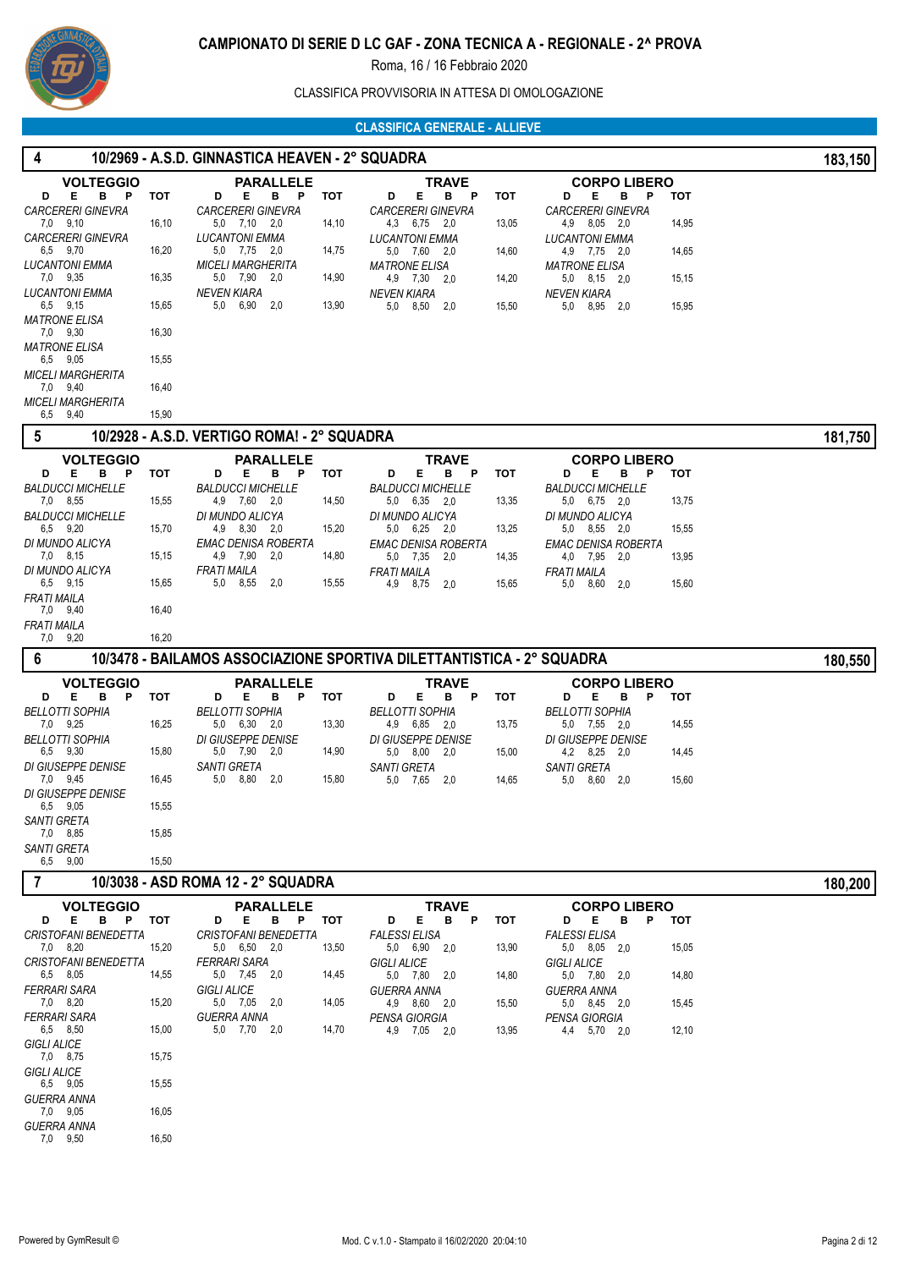

# CLASSIFICA PROVVISORIA IN ATTESA DI OMOLOGAZIONE

| 4                                       |            | 10/2969 - A.S.D. GINNASTICA HEAVEN - 2° SQUADRA |       |                                                                       |            |                                               |            | 183,150 |
|-----------------------------------------|------------|-------------------------------------------------|-------|-----------------------------------------------------------------------|------------|-----------------------------------------------|------------|---------|
| <b>VOLTEGGIO</b>                        |            | <b>PARALLELE</b>                                |       | <b>TRAVE</b>                                                          |            | <b>CORPO LIBERO</b>                           |            |         |
| B<br>Е.<br>P<br>D                       | <b>TOT</b> | D<br>E.<br>в<br>P                               | тот   | В<br>Е.<br>P<br>D                                                     | тот        | D<br>Е<br>в<br>P                              | <b>TOT</b> |         |
| <b>CARCERERI GINEVRA</b><br>7.0 9.10    | 16,10      | <b>CARCERERI GINEVRA</b><br>5,0 7,10 2,0        | 14,10 | <b>CARCERERI GINEVRA</b><br>4.3 6,75 2,0                              | 13,05      | <b>CARCERERI GINEVRA</b><br>4,9 8,05 2.0      | 14,95      |         |
| <b>CARCERERI GINEVRA</b><br>6,5 9,70    | 16,20      | <b>LUCANTONI EMMA</b><br>5,0 7,75 2,0           | 14,75 | <b>LUCANTONI EMMA</b><br>5,0 7,60 2,0                                 | 14,60      | <b>LUCANTONI EMMA</b><br>4,9 7,75 2,0         | 14,65      |         |
| LUCANTONI EMMA                          |            | <b>MICELI MARGHERITA</b>                        |       | <b>MATRONE ELISA</b>                                                  |            | <b>MATRONE ELISA</b>                          |            |         |
| 7,0 9,35                                | 16,35      | 5,0 7,90 2,0                                    | 14,90 | 4,9 7,30 2,0                                                          | 14,20      | 5,0 8,15 2,0                                  | 15,15      |         |
| <b>LUCANTONI EMMA</b><br>6,5 9,15       | 15,65      | <b>NEVEN KIARA</b><br>5,0 6,90<br>2,0           | 13,90 | <b>NEVEN KIARA</b><br>5,0<br>8,50<br>2,0                              | 15,50      | <b>NEVEN KIARA</b><br>5,0<br>8,95 2,0         | 15,95      |         |
| <b>MATRONE ELISA</b><br>7,0 9,30        | 16,30      |                                                 |       |                                                                       |            |                                               |            |         |
| <b>MATRONE ELISA</b><br>6,5 9,05        | 15,55      |                                                 |       |                                                                       |            |                                               |            |         |
| <b>MICELI MARGHERITA</b><br>7,0 9,40    | 16,40      |                                                 |       |                                                                       |            |                                               |            |         |
| <b>MICELI MARGHERITA</b><br>6,5 9,40    | 15,90      |                                                 |       |                                                                       |            |                                               |            |         |
| 5                                       |            | 10/2928 - A.S.D. VERTIGO ROMA! - 2° SQUADRA     |       |                                                                       |            |                                               |            | 181,750 |
| <b>VOLTEGGIO</b>                        |            | <b>PARALLELE</b>                                |       | <b>TRAVE</b>                                                          |            | <b>CORPO LIBERO</b>                           |            |         |
| Е.<br>в<br>D<br>P                       | тот        | Е.<br>в<br>P<br>D                               | тот   | D<br>Е.<br>в<br>P                                                     | тот        | D<br>Е<br>в<br>P                              | тот        |         |
| <b>BALDUCCI MICHELLE</b><br>7,0 8,55    |            | <b>BALDUCCI MICHELLE</b>                        |       | <b>BALDUCCI MICHELLE</b>                                              |            | <b>BALDUCCI MICHELLE</b>                      | 13,75      |         |
| <b>BALDUCCI MICHELLE</b>                | 15,55      | 4,9 7,60 2,0<br>DI MUNDO ALICYA                 | 14,50 | 5,0 6,35 2,0<br>DI MUNDO ALICYA                                       | 13,35      | $5,0$ $6,75$ $2,0$<br>DI MUNDO ALICYA         |            |         |
| 6.5 9.20                                | 15,70      | 4,9 8,30 2,0                                    | 15,20 | 5,0 6,25 2,0                                                          | 13,25      | 5,0 8,55 2,0                                  | 15,55      |         |
| DI MUNDO ALICYA<br>7.0 8.15             | 15,15      | EMAC DENISA ROBERTA<br>4,9 7,90 2,0             | 14,80 | EMAC DENISA ROBERTA<br>5,0 7,35<br>2,0                                | 14,35      | <b>EMAC DENISA ROBERTA</b><br>4,0 7,95<br>2,0 | 13,95      |         |
| DI MUNDO ALICYA<br>6,5 9,15             | 15,65      | <b>FRATI MAILA</b><br>5,0 8,55<br>2,0           | 15,55 | <b>FRATI MAILA</b><br>4,9 8,75<br>2,0                                 | 15,65      | <b>FRATI MAILA</b><br>5,0<br>8,60<br>2,0      | 15,60      |         |
| <b>FRATI MAILA</b><br>7,0 9,40          | 16,40      |                                                 |       |                                                                       |            |                                               |            |         |
| FRATI MAILA<br>7,0 9,20                 | 16,20      |                                                 |       |                                                                       |            |                                               |            |         |
|                                         |            |                                                 |       |                                                                       |            |                                               |            |         |
| 6                                       |            |                                                 |       | 10/3478 - BAILAMOS ASSOCIAZIONE SPORTIVA DILETTANTISTICA - 2° SQUADRA |            |                                               |            |         |
| <b>VOLTEGGIO</b>                        |            |                                                 |       |                                                                       |            |                                               |            | 180,550 |
| Е.<br>в<br>D<br>P                       | <b>TOT</b> | PARALLELE<br>D<br>Е.<br>в<br>P                  | тот   | TRAVE<br>Е<br>D<br>в<br>P                                             | <b>TOT</b> | <b>CORPO LIBERO</b><br>P<br>D<br>Е<br>в       | <b>TOT</b> |         |
| <b>BELLOTTI SOPHIA</b>                  |            | <b>BELLOTTI SOPHIA</b>                          |       | <b>BELLOTTI SOPHIA</b>                                                |            | <b>BELLOTTI SOPHIA</b>                        |            |         |
| 7,0 9,25<br><b>BELLOTTI SOPHIA</b>      | 16,25      | $5,0$ $6,30$ $2,0$<br>DI GIUSEPPE DENISE        | 13,30 | 4,9 6,85 2,0<br>DI GIUSEPPE DENISE                                    | 13,75      | 5,0 7,55 2,0<br><b>DI GIUSEPPE DENISE</b>     | 14,55      |         |
| 6,5 9,30                                | 15,80      | 5,0 7,90 2,0                                    | 14,90 | 5,0 8,00 2,0                                                          | 15,00      | $4,2$ $8,25$ $2,0$                            | 14,45      |         |
| DI GIUSEPPE DENISE<br>7,0 9,45          | 16,45      | <b>SANTI GRETA</b><br>5,0 8,80 2,0              | 15,80 | <b>SANTI GRETA</b><br>5,0 7,65 2,0                                    | 14,65      | <b>SANTI GRETA</b><br>5,0 8,60 2,0            | 15,60      |         |
| DI GIUSEPPE DENISE<br>6,5 9,05          | 15,55      |                                                 |       |                                                                       |            |                                               |            |         |
| SANTI GRETA<br>7,0 8,85                 | 15,85      |                                                 |       |                                                                       |            |                                               |            |         |
| <b>SANTI GRETA</b><br>6,5 9,00          | 15,50      |                                                 |       |                                                                       |            |                                               |            |         |
| $\overline{7}$                          |            | 10/3038 - ASD ROMA 12 - 2° SQUADRA              |       |                                                                       |            |                                               |            |         |
| <b>VOLTEGGIO</b>                        |            | <b>PARALLELE</b>                                |       | <b>TRAVE</b>                                                          |            | <b>CORPO LIBERO</b>                           |            | 180,200 |
| E B P<br>D                              | тот        | B P<br>Е.<br>D                                  | тот   | Е.<br>B <sub>P</sub><br>D                                             | <b>TOT</b> | Е.<br>B <sub>P</sub><br>D                     | тот        |         |
| <b>CRISTOFANI BENEDETTA</b>             |            | <b>CRISTOFANI BENEDETTA</b>                     |       | <b>FALESSI ELISA</b>                                                  |            | <b>FALESSI ELISA</b>                          |            |         |
| 7,0 8,20<br><b>CRISTOFANI BENEDETTA</b> | 15,20      | 5,0 6,50 2,0<br>FERRARI SARA                    | 13,50 | 5,0 6,90 2,0<br><b>GIGLI ALICE</b>                                    | 13,90      | 5,0 8,05 2,0<br><b>GIGLI ALICE</b>            | 15,05      |         |
| 6,5 8,05                                | 14,55      | 5,0 7,45 2,0                                    | 14,45 | 5,0 7,80 2,0                                                          | 14,80      | 5,0 7,80 2,0                                  | 14,80      |         |
| <b>FERRARI SARA</b><br>7,0 8,20         | 15,20      | <b>GIGLI ALICE</b><br>5,0 7,05 2,0              | 14,05 | <b>GUERRA ANNA</b><br>4,9 8,60 2,0                                    | 15,50      | <b>GUERRA ANNA</b><br>5,0 8,45 2,0            | 15,45      |         |
| <b>FERRARI SARA</b><br>6,5 8,50         | 15,00      | <b>GUERRA ANNA</b><br>5,0 7,70 2,0              | 14,70 | PENSA GIORGIA                                                         |            | PENSA GIORGIA                                 |            |         |
| <b>GIGLI ALICE</b>                      |            |                                                 |       | 4,9 7,05 2,0                                                          | 13,95      | 4,4 5,70 2,0                                  | 12,10      |         |
| 7,0 8,75<br><b>GIGLI ALICE</b>          | 15,75      |                                                 |       |                                                                       |            |                                               |            |         |
| 6,5 9,05<br><b>GUERRA ANNA</b>          | 15,55      |                                                 |       |                                                                       |            |                                               |            |         |
| 7,0 9,05<br><b>GUERRA ANNA</b>          | 16,05      |                                                 |       |                                                                       |            |                                               |            |         |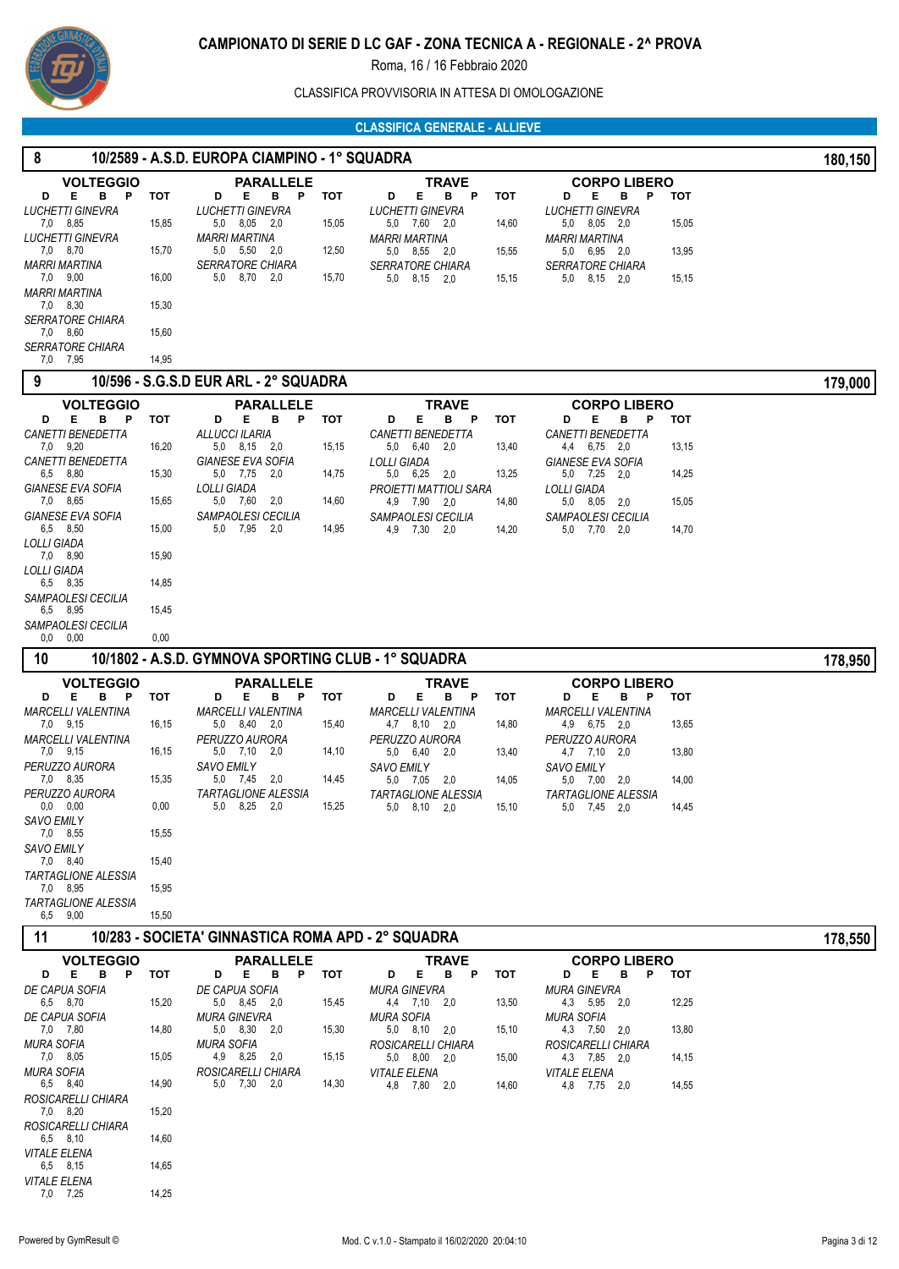

CLASSIFICA PROVVISORIA IN ATTESA DI OMOLOGAZIONE

|                                                       |       |                                                     |       | <b>CLASSIFICA GENERALE - ALLIEVE</b>                |       |                                                 |            |         |
|-------------------------------------------------------|-------|-----------------------------------------------------|-------|-----------------------------------------------------|-------|-------------------------------------------------|------------|---------|
| 8                                                     |       | 10/2589 - A.S.D. EUROPA CIAMPINO - 1° SQUADRA       |       |                                                     |       |                                                 |            | 180,150 |
| <b>VOLTEGGIO</b>                                      |       | <b>PARALLELE</b>                                    |       | <b>TRAVE</b>                                        |       | <b>CORPO LIBERO</b>                             |            |         |
| Е<br>в<br>D<br>P<br>LUCHETTI GINEVRA                  | тот   | в<br>P<br>D<br>Е<br>LUCHETTI GINEVRA                | тот   | Е<br>в<br>Р<br>D<br><b>LUCHETTI GINEVRA</b>         | тот   | Е<br>Ρ<br>D<br>в<br><b>LUCHETTI GINEVRA</b>     | тот        |         |
| 7,0 8,85                                              | 15,85 | $5,0$ $8,05$ $2,0$                                  | 15,05 | 5,0 7,60 2,0                                        | 14,60 | 5,0 8,05 2,0                                    | 15,05      |         |
| LUCHETTI GINEVRA<br>7,0 8,70                          | 15,70 | <b>MARRI MARTINA</b><br>5,0 5,50 2,0                | 12,50 | MARRI MARTINA<br>5,0 8,55 2,0                       | 15,55 | MARRI MARTINA<br>5,0 6,95 2,0                   | 13,95      |         |
| MARRI MARTINA<br>7,0 9,00                             | 16,00 | <b>SERRATORE CHIARA</b><br>5,0 8,70 2,0             | 15,70 | <b>SERRATORE CHIARA</b><br>5,0 8,15 2,0             | 15,15 | <b>SERRATORE CHIARA</b><br>$5,0$ $8,15$ $2,0$   | 15,15      |         |
| MARRI MARTINA                                         |       |                                                     |       |                                                     |       |                                                 |            |         |
| 7,0 8,30<br><b>SERRATORE CHIARA</b>                   | 15,30 |                                                     |       |                                                     |       |                                                 |            |         |
| 7,0 8,60<br><i>SERRATORE CHIARA</i>                   | 15,60 |                                                     |       |                                                     |       |                                                 |            |         |
| 7,0 7,95                                              | 14,95 |                                                     |       |                                                     |       |                                                 |            |         |
| 9                                                     |       | 10/596 - S.G.S.D EUR ARL - 2° SQUADRA               |       |                                                     |       |                                                 |            | 179,000 |
| <b>VOLTEGGIO</b>                                      |       | <b>PARALLELE</b>                                    |       | TRAVE                                               |       | <b>CORPO LIBERO</b>                             |            |         |
| B <sub>P</sub><br>Е.<br>D<br><b>CANETTI BENEDETTA</b> | тот   | Е.<br>B <sub>P</sub><br>D<br>ALLUCCI ILARIA         | тот   | Е.<br>в<br>P<br>D<br><b>CANETTI BENEDETTA</b>       | тот   | D<br>Е<br>в<br>P<br>CANETTI BENEDETTA           | <b>TOT</b> |         |
| 7,0 9,20<br>CANETTI BENEDETTA                         | 16,20 | 5,0 8,15 2,0<br>GIANESE EVA SOFIA                   | 15,15 | 6,40 2,0<br>5,0<br><b>LOLLI GIADA</b>               | 13,40 | 4,4 6,75 2,0<br><b>GIANESE EVA SOFIA</b>        | 13,15      |         |
| 6,5 8,80                                              | 15,30 | 5,0 7,75 2,0                                        | 14,75 | 5,0 6,25 2,0                                        | 13,25 | 5,0 7,25 2,0                                    | 14,25      |         |
| <b>GIANESE EVA SOFIA</b><br>7,0 8,65                  | 15,65 | LOLLI GIADA<br>5.0 7.60 2.0                         | 14,60 | PROJETTI MATTIOLI SARA<br>4,9 7,90 2,0              | 14,80 | LOLLI GIADA<br>$5,0$ $8,05$ $2,0$               | 15,05      |         |
| <b>GIANESE EVA SOFIA</b><br>6,5 8,50                  | 15,00 | SAMPAOLESI CECILIA<br>5,0 7,95 2,0                  | 14,95 | SAMPAOLESI CECILIA<br>4,9 7,30 2,0                  | 14,20 | SAMPAOLESI CECILIA<br>5,0 7,70 2,0              | 14,70      |         |
| LOLLI GIADA                                           |       |                                                     |       |                                                     |       |                                                 |            |         |
| 7,0 8,90<br>LOLLI GIADA                               | 15,90 |                                                     |       |                                                     |       |                                                 |            |         |
| 6,5 8,35<br>SAMPAOLESI CECILIA                        | 14,85 |                                                     |       |                                                     |       |                                                 |            |         |
| 6,5 8,95                                              | 15,45 |                                                     |       |                                                     |       |                                                 |            |         |
| SAMPAOLESI CECILIA<br>$0,0$ $0,00$                    | 0,00  |                                                     |       |                                                     |       |                                                 |            |         |
| 10                                                    |       | 10/1802 - A.S.D. GYMNOVA SPORTING CLUB - 1° SQUADRA |       |                                                     |       |                                                 |            | 178,950 |
| <b>VOLTEGGIO</b>                                      |       | <b>PARALLELE</b>                                    |       | TRAVE                                               |       | <b>CORPO LIBERO</b>                             |            |         |
| Е.<br>в<br>D<br>- P<br>MARCELLI VALENTINA             | тот   | Е<br>в<br>D<br>- P<br><b>MARCELLI VALENTINA</b>     | тот   | D<br>E.<br>в<br>Р<br><b>MARCELLI VALENTINA</b>      | тот   | Е<br>D<br>в<br>P<br><b>MARCELLI VALENTINA</b>   | <b>TOT</b> |         |
| 7,0 9,15                                              | 16,15 | 5,0 8,40 2,0<br>PERUZZO AURORA                      | 15,40 | 4,7 8,10 2,0                                        | 14,80 | 4,9 6,75 2,0                                    | 13,65      |         |
| <b>MARCELLI VALENTINA</b><br>7,0 9,15                 | 16,15 | 5,0 7,10<br>2,0                                     | 14,10 | PERUZZO AURORA<br>5,0 6,40<br>2,0                   | 13,40 | PERUZZO AURORA<br>$4,7$ $7,10$ $2,0$            | 13,80      |         |
| PERUZZO AURORA<br>7,0 8,35                            | 15,35 | <b>SAVO EMILY</b><br>5,0 7,45 2,0                   | 14,45 | <b>SAVO EMILY</b><br>5,0 7,05 2,0                   | 14,05 | SAVO EMILY<br>5,0 7,00 2,0                      | 14,00      |         |
| PERUZZO AURORA<br>$0,0$ $0,00$                        | 0,00  | <b>TARTAGLIONE ALESSIA</b><br>5,0 8,25 2,0          | 15,25 | <b>TARTAGLIONE ALESSIA</b>                          |       | TARTAGLIONE ALESSIA                             |            |         |
| <b>SAVO EMILY</b>                                     |       |                                                     |       | $5,0$ $8,10$ $2,0$                                  | 15,10 | 5.0 7.45 2.0                                    | 14,45      |         |
| 7,0 8,55<br><b>SAVO EMILY</b>                         | 15,55 |                                                     |       |                                                     |       |                                                 |            |         |
| 7,0 8,40<br><b>TARTAGLIONE ALESSIA</b>                | 15,40 |                                                     |       |                                                     |       |                                                 |            |         |
| 7,0 8,95                                              | 15,95 |                                                     |       |                                                     |       |                                                 |            |         |
| <b>TARTAGLIONE ALESSIA</b><br>6,5 9,00                | 15,50 |                                                     |       |                                                     |       |                                                 |            |         |
| 11                                                    |       | 10/283 - SOCIETA' GINNASTICA ROMA APD - 2° SQUADRA  |       |                                                     |       |                                                 |            | 178,550 |
| <b>VOLTEGGIO</b>                                      |       | <b>PARALLELE</b>                                    |       | TRAVE                                               |       | <b>CORPO LIBERO</b>                             |            |         |
| E.<br>в<br>$\mathsf{P}$<br>D<br>DE CAPUA SOFIA        | тот   | E.<br>в<br>е тот<br>D<br>DE CAPUA SOFIA             |       | Е.<br>в<br>$\mathsf{P}$<br>D<br><b>MURA GINEVRA</b> | тот   | Е<br>B <sub>P</sub><br>D<br><b>MURA GINEVRA</b> | <b>TOT</b> |         |
| 6,5 8,70                                              | 15,20 | 5,0 8,45 2,0                                        | 15,45 | 4,4 7,10 2,0                                        | 13,50 | 4,3 5,95 2,0                                    | 12,25      |         |
| DE CAPUA SOFIA<br>7,0 7,80                            | 14,80 | <b>MURA GINEVRA</b><br>5,0 8,30 2,0                 | 15,30 | <b>MURA SOFIA</b><br>$5,0$ $8,10$ $2,0$             | 15,10 | <b>MURA SOFIA</b><br>4,3 7,50 2,0               | 13,80      |         |
| MURA SOFIA<br>7,0 8,05                                | 15,05 | <b>MURA SOFIA</b><br>4,9 8,25 2,0                   | 15,15 | ROSICARELLI CHIARA<br>5,0 8,00 2,0                  | 15,00 | ROSICARELLI CHIARA<br>4,3 7,85 2,0              | 14,15      |         |
| <b>MURA SOFIA</b>                                     |       | ROSICARELLI CHIARA                                  |       | <b>VITALE ELENA</b>                                 |       | <b>VITALE ELENA</b>                             |            |         |
| 6,5 8,40<br>ROSICARELLI CHIARA                        | 14,90 | 5,0 7,30 2,0                                        | 14,30 | 4,8 7,80 2,0                                        | 14,60 | 4,8 7,75 2,0                                    | 14,55      |         |
| 7,0 8,20<br>ROSICARELLI CHIARA                        | 15,20 |                                                     |       |                                                     |       |                                                 |            |         |
| 6,5 8,10<br><b>VITALE ELENA</b>                       | 14,60 |                                                     |       |                                                     |       |                                                 |            |         |
|                                                       |       |                                                     |       |                                                     |       |                                                 |            |         |

7,0 *VITALE ELENA* 7,25 14,25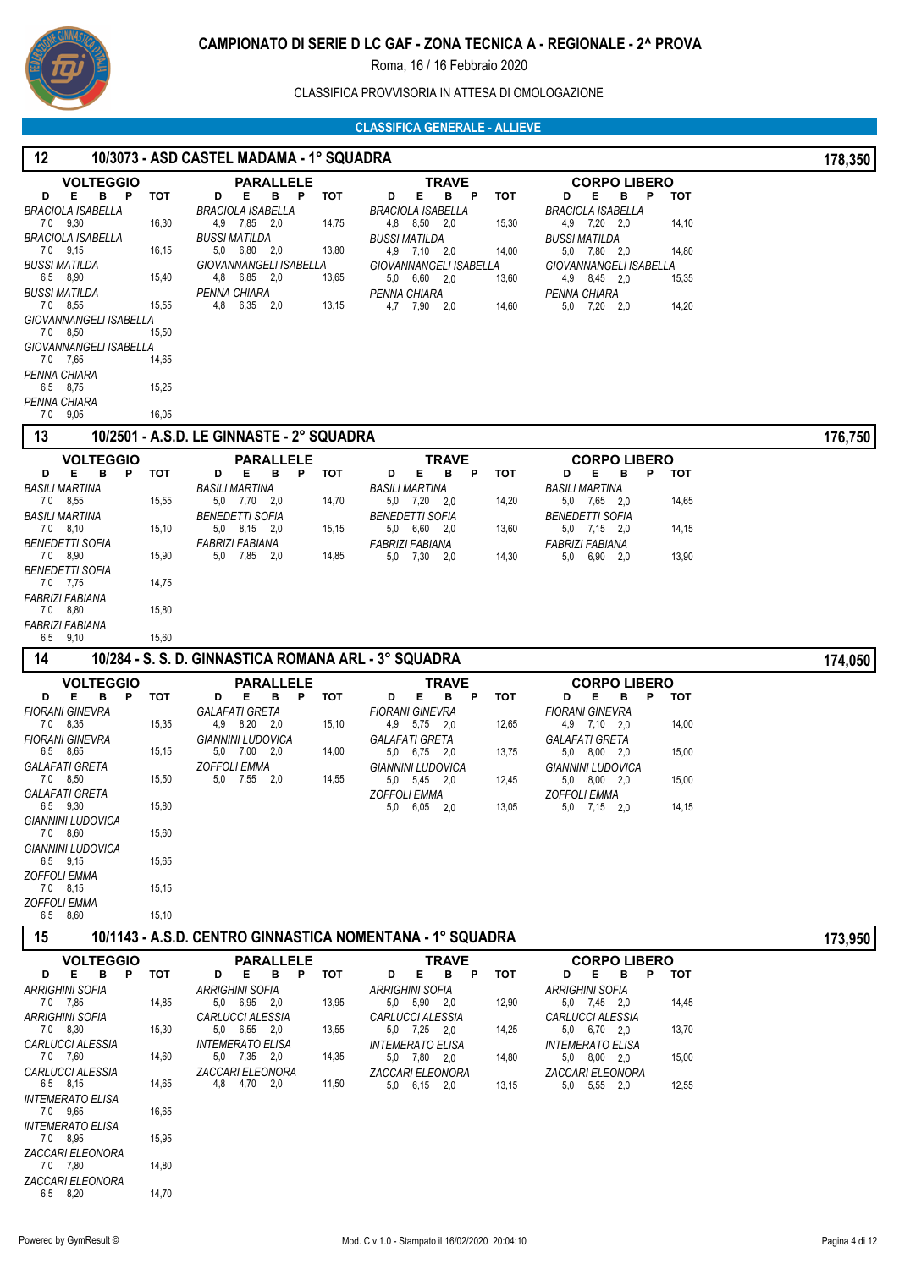

CLASSIFICA PROVVISORIA IN ATTESA DI OMOLOGAZIONE

| 12                                           |       | 10/3073 - ASD CASTEL MADAMA - 1° SQUADRA             |       |                                                           |            |                                               |       | 178,350 |
|----------------------------------------------|-------|------------------------------------------------------|-------|-----------------------------------------------------------|------------|-----------------------------------------------|-------|---------|
| <b>VOLTEGGIO</b>                             |       | <b>PARALLELE</b>                                     |       | <b>TRAVE</b>                                              |            | <b>CORPO LIBERO</b>                           |       |         |
| Е<br>D<br>в<br>P<br><b>BRACIOLA ISABELLA</b> | тот   | D<br>Е<br>В<br>Ρ<br><b>BRACIOLA ISABELLA</b>         | тот   | Е<br>P<br>D<br>в<br><b>BRACIOLA ISABELLA</b>              | тот        | D<br>Е<br>в<br>P<br><b>BRACIOLA ISABELLA</b>  | тот   |         |
| 7,0 9,30                                     | 16,30 | 4,9 7,85 2,0                                         | 14,75 | 4,8 8,50 2,0                                              | 15,30      | 4,9 7,20 2,0                                  | 14,10 |         |
| BRACIOLA ISABELLA<br>7,0 9,15                | 16,15 | <b>BUSSI MATILDA</b><br>6,80 2,0<br>5,0              | 13,80 | <b>BUSSI MATILDA</b><br>4,9 7,10 2,0                      | 14,00      | <b>BUSSI MATILDA</b><br>5,0 7,80 2,0          | 14,80 |         |
| <b>BUSSI MATILDA</b>                         |       | GIOVANNANGELI ISABELLA                               |       | GIOVANNANGELI ISABELLA                                    |            | GIOVANNANGELI ISABELLA                        |       |         |
| 6,5 8,90<br><b>BUSSI MATILDA</b>             | 15,40 | 4,8<br>6,85 2,0<br>PENNA CHIARA                      | 13,65 | 5,0 6,60 2,0                                              | 13,60      | 4,9 8,45 2,0                                  | 15,35 |         |
| 7,0 8,55                                     | 15,55 | 4,8<br>6,35 2,0                                      | 13,15 | PENNA CHIARA<br>4,7 7,90 2,0                              | 14,60      | PENNA CHIARA<br>5,0 7,20 2,0                  | 14,20 |         |
| GIOVANNANGELI ISABELLA<br>7,0 8,50           |       |                                                      |       |                                                           |            |                                               |       |         |
| GIOVANNANGELI ISABELLA                       | 15,50 |                                                      |       |                                                           |            |                                               |       |         |
| 7,0 7,65                                     | 14,65 |                                                      |       |                                                           |            |                                               |       |         |
| PENNA CHIARA<br>6,5 8,75                     | 15,25 |                                                      |       |                                                           |            |                                               |       |         |
| PENNA CHIARA<br>9,05                         | 16,05 |                                                      |       |                                                           |            |                                               |       |         |
| 7,0<br>13                                    |       | 10/2501 - A.S.D. LE GINNASTE - 2° SQUADRA            |       |                                                           |            |                                               |       | 176,750 |
| <b>VOLTEGGIO</b>                             |       | <b>PARALLELE</b>                                     |       | TRAVE                                                     |            | <b>CORPO LIBERO</b>                           |       |         |
| Е<br>в<br>P.<br>D                            | тот   | в<br>E<br>P<br>D                                     | тот   | Е<br>в<br>D<br>P                                          | тот        | Е<br>в<br>P<br>D                              | тот   |         |
| <b>BASILI MARTINA</b>                        |       | <b>BASILI MARTINA</b>                                |       | <b>BASILI MARTINA</b>                                     |            | <b>BASILI MARTINA</b>                         |       |         |
| 7,0 8,55<br><b>BASILI MARTINA</b>            | 15,55 | 5,0 7,70 2,0<br><b>BENEDETTI SOFIA</b>               | 14,70 | 5,0 7,20 2,0<br><b>BENEDETTI SOFIA</b>                    | 14,20      | 5,0 7,65 2,0<br><b>BENEDETTI SOFIA</b>        | 14,65 |         |
| 7,0 8,10                                     | 15,10 | 5,0 8,15 2,0                                         | 15,15 | 5,0 6,60 2,0                                              | 13,60      | $5,0$ $7,15$ $2,0$                            | 14,15 |         |
| <i>BENEDETTI SOFIA</i><br>7,0 8,90           | 15,90 | <b>FABRIZI FABIANA</b><br>5,0 7,85 2,0               | 14,85 | <b>FABRIZI FABIANA</b><br>5,0 7,30<br>- 2,0               | 14,30      | <b>FABRIZI FABIANA</b><br>$6,90$ $2,0$<br>5,0 | 13,90 |         |
| <b>BENEDETTI SOFIA</b>                       |       |                                                      |       |                                                           |            |                                               |       |         |
| 7,0 7,75<br><b>FABRIZI FABIANA</b>           | 14,75 |                                                      |       |                                                           |            |                                               |       |         |
| 7,0 8,80                                     | 15,80 |                                                      |       |                                                           |            |                                               |       |         |
| <b>FABRIZI FABIANA</b><br>6,5 9,10           | 15,60 |                                                      |       |                                                           |            |                                               |       |         |
| 14                                           |       | 10/284 - S. S. D. GINNASTICA ROMANA ARL - 3° SQUADRA |       |                                                           |            |                                               |       |         |
|                                              |       |                                                      |       |                                                           |            |                                               |       | 174,050 |
| <b>VOLTEGGIO</b><br>Е<br>в<br>P<br>D         | тот   | <b>PARALLELE</b><br>D<br>Е<br>в<br>Ρ                 | тот   | <b>TRAVE</b><br>Е<br>D<br>в<br>P                          | тот        | <b>CORPO LIBERO</b><br>D<br>Е<br>в<br>P       | тот   |         |
| <b>FIORANI GINEVRA</b>                       |       | <b>GALAFATI GRETA</b>                                |       | <b>FIORANI GINEVRA</b>                                    |            | <b>FIORANI GINEVRA</b>                        |       |         |
| 7,0 8,35<br><b>FIORANI GINEVRA</b>           | 15,35 | 4,9 8,20 2,0<br><b>GIANNINI LUDOVICA</b>             | 15,10 | 4,9 5,75<br>- 2,0<br><b>GALAFATI GRETA</b>                | 12,65      | 4,9 7,10 2,0<br>GALAFATI GRETA                | 14,00 |         |
| 6,5 8,65                                     | 15,15 | 5,0 7,00 2,0                                         | 14,00 | 5,0 6,75 2,0                                              | 13,75      | 5,0 8,00 2,0                                  | 15,00 |         |
| <b>GALAFATI GRETA</b><br>7,0 8,50            | 15,50 | ZOFFOLI EMMA<br>5,0 7,55 2,0                         | 14,55 | GIANNINI LUDOVICA<br>5,0 5,45 2,0                         | 12,45      | GIANNINI LUDOVICA<br>$5,0$ $8,00$ $2,0$       | 15,00 |         |
| GALAFATI GRETA                               |       |                                                      |       | <b>ZOFFOLI EMMA</b>                                       |            | <b>ZOFFOLI EMMA</b>                           |       |         |
| 6,5 9,30<br>GIANNINI LUDOVICA                | 15,80 |                                                      |       | $5.0\quad 6.05\quad 2.0$                                  | 13,05      | 5,0 7,15 2,0                                  | 14,15 |         |
| 7,0 8,60                                     | 15,60 |                                                      |       |                                                           |            |                                               |       |         |
| <b>GIANNINI LUDOVICA</b><br>6,5 9,15         | 15,65 |                                                      |       |                                                           |            |                                               |       |         |
| <b>ZOFFOLI EMMA</b>                          |       |                                                      |       |                                                           |            |                                               |       |         |
| 7,0 8,15<br><b>ZOFFOLI EMMA</b>              | 15,15 |                                                      |       |                                                           |            |                                               |       |         |
| 6,5 8,60                                     | 15,10 |                                                      |       |                                                           |            |                                               |       |         |
| 15                                           |       |                                                      |       | 10/1143 - A.S.D. CENTRO GINNASTICA NOMENTANA - 1° SQUADRA |            |                                               |       | 173,950 |
| <b>VOLTEGGIO</b>                             |       | <b>PARALLELE</b>                                     |       | <b>TRAVE</b>                                              |            | <b>CORPO LIBERO</b>                           |       |         |
| E.<br>в<br><b>P</b><br>D                     | тот   | B P<br>D<br>E                                        | тот   | Е<br>B P<br>D                                             | <b>TOT</b> | Е<br>в<br>P<br>D                              | тот   |         |
| <b>ARRIGHINI SOFIA</b><br>7,0 7,85           | 14,85 | <b>ARRIGHINI SOFIA</b><br>5,0 6,95 2,0               | 13,95 | <b>ARRIGHINI SOFIA</b><br>5,0 5,90 2,0                    | 12,90      | <b>ARRIGHINI SOFIA</b><br>5,0 7,45 2,0        | 14,45 |         |
| <b>ARRIGHINI SOFIA</b>                       |       | CARLUCCI ALESSIA                                     |       | CARLUCCI ALESSIA                                          |            | <b>CARLUCCI ALESSIA</b>                       |       |         |
| 7,0 8,30<br>CARLUCCI ALESSIA                 | 15,30 | 5,0 6,55 2,0<br><i><b>INTEMERATO ELISA</b></i>       | 13,55 | 5,0 7,25 2,0<br><i><b>INTEMERATO ELISA</b></i>            | 14,25      | 5,0 6,70 2,0<br><b>INTEMERATO ELISA</b>       | 13,70 |         |
| 7,0 7,60                                     | 14,60 | 5,0 7,35 2,0                                         | 14,35 | 5,0 7,80 2,0                                              | 14,80      | 5,0 8,00 2,0                                  | 15,00 |         |
| CARLUCCI ALESSIA<br>6,5 8,15                 | 14,65 | ZACCARI ELEONORA<br>4,8 4,70 2,0                     | 11,50 | ZACCARI ELEONORA<br>$5,0$ $6,15$ $2,0$                    | 13,15      | ZACCARI ELEONORA<br>5,0 5,55 2,0              | 12,55 |         |
| <i><b>INTEMERATO ELISA</b></i>               |       |                                                      |       |                                                           |            |                                               |       |         |
| 7,0 9,65<br><b>INTEMERATO ELISA</b>          | 16,65 |                                                      |       |                                                           |            |                                               |       |         |
| 7,0 8,95                                     | 15,95 |                                                      |       |                                                           |            |                                               |       |         |
| ZACCARI ELEONORA<br>7,0 7,80                 | 14,80 |                                                      |       |                                                           |            |                                               |       |         |
| ZACCARI ELEONORA<br>6,5 8,20                 | 14,70 |                                                      |       |                                                           |            |                                               |       |         |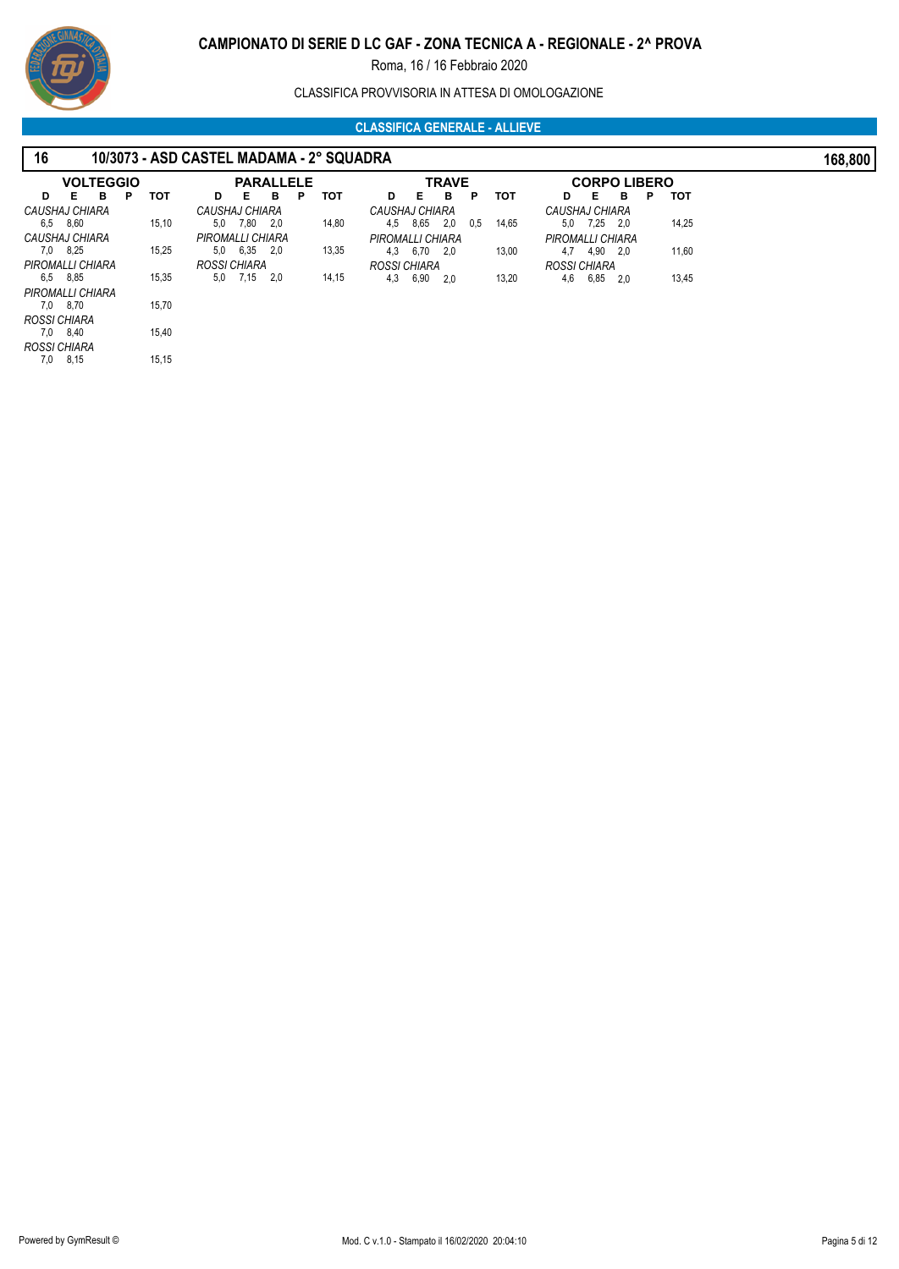# **CAMPIONATO DI SERIE D LC GAF - ZONA TECNICA A - REGIONALE - 2^ PROVA**

Roma, 16 / 16 Febbraio 2020

CLASSIFICA PROVVISORIA IN ATTESA DI OMOLOGAZIONE

| 16  |                  |   |       | 10/3073 - ASD CASTEL MADAMA - 2° SQUADRA |                          |     |   |       |                  |          |              |     |       |                  |                     |     |   |       | 168,800 |
|-----|------------------|---|-------|------------------------------------------|--------------------------|-----|---|-------|------------------|----------|--------------|-----|-------|------------------|---------------------|-----|---|-------|---------|
|     | <b>VOLTEGGIO</b> |   |       |                                          | <b>PARALLELE</b>         |     |   |       |                  |          | <b>TRAVE</b> |     |       |                  | <b>CORPO LIBERO</b> |     |   |       |         |
| D   | Е<br>в           | P | тот   | D                                        | Е                        | в   | Р | тот   | D                | <b>E</b> | в            | P   | тот   | D                | - E                 | в   | P | тот   |         |
|     | CAUSHAJ CHIARA   |   |       | CAUSHAJ CHIARA                           |                          |     |   |       | CAUSHAJ CHIARA   |          |              |     |       | CAUSHAJ CHIARA   |                     |     |   |       |         |
|     | 6,5 8,60         |   | 15,10 | 5.0                                      | 7,80 2,0                 |     |   | 14,80 |                  | 4,5 8,65 | 2.0          | 0.5 | 14,65 |                  | 5,0 7,25 2,0        |     |   | 14,25 |         |
|     | CAUSHAJ CHIARA   |   |       | PIROMALLI CHIARA                         |                          |     |   |       | PIROMALLI CHIARA |          |              |     |       | PIROMALLI CHIARA |                     |     |   |       |         |
|     | 7,0 8,25         |   | 15,25 |                                          | $5.0\quad 6.35\quad 2.0$ |     |   | 13,35 | 4,3              | 6,70     | 2.0          |     | 13,00 |                  | 4,7 4,90 2,0        |     |   | 11,60 |         |
|     | PIROMALLI CHIARA |   |       | ROSSI CHIARA                             |                          |     |   |       | ROSSI CHIARA     |          |              |     |       | ROSSI CHIARA     |                     |     |   |       |         |
|     | 6,5 8,85         |   | 15,35 | 5.0                                      | 7,15                     | 2,0 |   | 14,15 | 4,3              | 6,90     | 2.0          |     | 13,20 | 4,6              | 6,85                | 2.0 |   | 13,45 |         |
|     | PIROMALLI CHIARA |   |       |                                          |                          |     |   |       |                  |          |              |     |       |                  |                     |     |   |       |         |
|     | 7,0 8,70         |   | 15,70 |                                          |                          |     |   |       |                  |          |              |     |       |                  |                     |     |   |       |         |
|     | ROSSI CHIARA     |   |       |                                          |                          |     |   |       |                  |          |              |     |       |                  |                     |     |   |       |         |
|     | 7,0 8,40         |   | 15,40 |                                          |                          |     |   |       |                  |          |              |     |       |                  |                     |     |   |       |         |
|     | ROSSI CHIARA     |   |       |                                          |                          |     |   |       |                  |          |              |     |       |                  |                     |     |   |       |         |
| 7,0 | 8,15             |   | 15,15 |                                          |                          |     |   |       |                  |          |              |     |       |                  |                     |     |   |       |         |

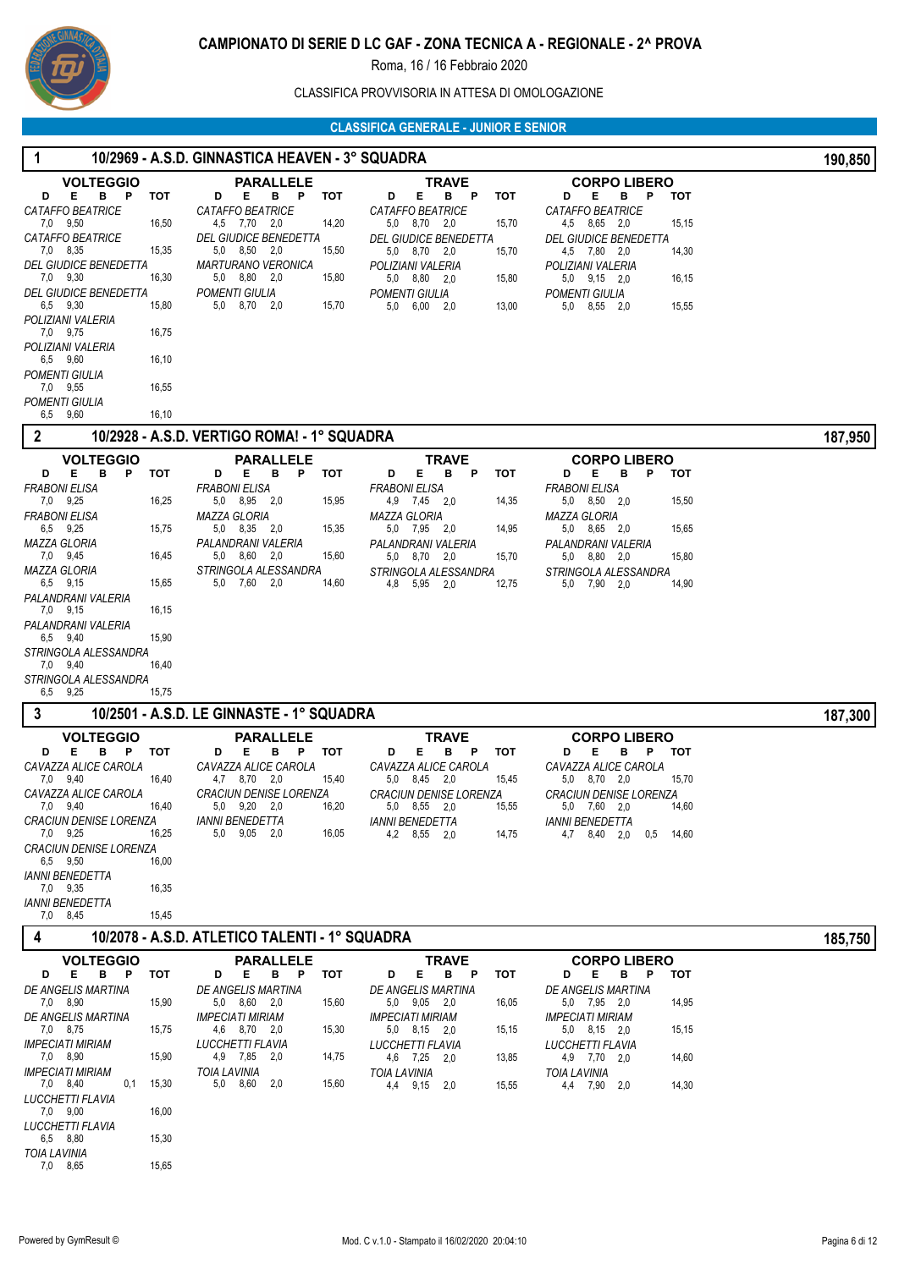

# CLASSIFICA PROVVISORIA IN ATTESA DI OMOLOGAZIONE

# **CLASSIFICA GENERALE - JUNIOR E SENIOR**

|                                                                                                                                                                                                                                                                                                                          |                                                                                                                                                                                                                                                                                                         | ULAJJIFIUA UENEKALE - JUNIUK E JENIUK                                                                                                                                                                                                             |                                                                                                                                                                                                                                                        |         |
|--------------------------------------------------------------------------------------------------------------------------------------------------------------------------------------------------------------------------------------------------------------------------------------------------------------------------|---------------------------------------------------------------------------------------------------------------------------------------------------------------------------------------------------------------------------------------------------------------------------------------------------------|---------------------------------------------------------------------------------------------------------------------------------------------------------------------------------------------------------------------------------------------------|--------------------------------------------------------------------------------------------------------------------------------------------------------------------------------------------------------------------------------------------------------|---------|
|                                                                                                                                                                                                                                                                                                                          | 10/2969 - A.S.D. GINNASTICA HEAVEN - 3° SQUADRA                                                                                                                                                                                                                                                         |                                                                                                                                                                                                                                                   |                                                                                                                                                                                                                                                        | 190,850 |
| <b>VOLTEGGIO</b><br>Е<br>B P<br>D<br>тот<br>CATAFFO BEATRICE<br>7,0 9,50<br><b>CATAFFO BEATRICE</b><br>7,0 8,35<br><b>DEL GIUDICE BENEDETTA</b><br>7,0 9,30<br><b>DEL GIUDICE BENEDETTA</b><br>6,5 9,30<br>15,80<br>POLIZIANI VALERIA<br>7,0 9,75<br>POLIZIANI VALERIA<br>6,5 9,60<br>POMENTI GIULIA<br>7,0 9,55         | <b>PARALLELE</b><br>Е<br>D<br>в<br>P<br>тот<br>CATAFFO BEATRICE<br>16,50<br>4,5 7,70 2,0<br>14,20<br><b>DEL GIUDICE BENEDETTA</b><br>15,35<br>5,0<br>8,50<br>2,0<br>15,50<br>MARTURANO VERONICA<br>16,30<br>5,0 8,80 2,0<br>15,80<br>POMENTI GIULIA<br>5,0 8,70 2,0<br>15,70<br>16,75<br>16,10<br>16,55 | <b>TRAVE</b><br>Е<br>D<br>B P<br><b>TOT</b><br><b>CATAFFO BEATRICE</b><br>5,0 8,70 2,0<br>15,70<br><b>DEL GIUDICE BENEDETTA</b><br>5,0 8,70 2,0<br>15,70<br>POLIZIANI VALERIA<br>5,0 8,80 2,0<br>15,80<br>POMENTI GIULIA<br>5,0 6,00 2,0<br>13,00 | <b>CORPO LIBERO</b><br>Е<br>D<br>в<br>P<br>тот<br>CATAFFO BEATRICE<br>4,5 8,65 2,0<br>15,15<br><b>DEL GIUDICE BENEDETTA</b><br>4,5 7,80 2.0<br>14,30<br>POLIZIANI VALERIA<br>$5,0$ $9,15$ $2,0$<br>16,15<br>POMENTI GIULIA<br>8,55 2,0<br>5,0<br>15,55 |         |
| POMENTI GIULIA<br>6,5 9,60                                                                                                                                                                                                                                                                                               | 16,10                                                                                                                                                                                                                                                                                                   |                                                                                                                                                                                                                                                   |                                                                                                                                                                                                                                                        |         |
| $\boldsymbol{2}$                                                                                                                                                                                                                                                                                                         | 10/2928 - A.S.D. VERTIGO ROMA! - 1° SQUADRA                                                                                                                                                                                                                                                             |                                                                                                                                                                                                                                                   |                                                                                                                                                                                                                                                        | 187,950 |
| <b>VOLTEGGIO</b>                                                                                                                                                                                                                                                                                                         | <b>PARALLELE</b>                                                                                                                                                                                                                                                                                        | <b>TRAVE</b>                                                                                                                                                                                                                                      | <b>CORPO LIBERO</b>                                                                                                                                                                                                                                    |         |
| Е<br>в<br>P<br>тот<br>D<br><b>FRABONI ELISA</b><br>7,0 9,25<br>FRABONI ELISA<br>6,5 9,25<br><b>MAZZA GLORIA</b><br>7,0 9,45<br>MAZZA GLORIA<br>6,5 9,15<br>PALANDRANI VALERIA<br>7,0 9,15<br>PALANDRANI VALERIA<br>6,5 9,40<br>15,90<br>STRINGOLA ALESSANDRA<br>7,0 9,40<br>16,40<br>STRINGOLA ALESSANDRA<br>6,5<br>9,25 | Е<br>в<br>Ρ<br>тот<br>D<br>FRABONI ELISA<br>16,25<br>5,0 8,95 2,0<br>15,95<br>MAZZA GLORIA<br>5,0 8,35 2,0<br>15,75<br>15,35<br>PALANDRANI VALERIA<br>16,45<br>5,0 8,60 2,0<br>15,60<br>STRINGOLA ALESSANDRA<br>5,0 7,60 2,0<br>15,65<br>14,60<br>16,15<br>15,75                                        | Е<br>в<br>P<br><b>TOT</b><br>D<br><b>FRABONI ELISA</b><br>4,9 7,45 2,0<br>14,35<br>MAZZA GLORIA<br>5,0 7,95 2,0<br>14,95<br>PALANDRANI VALERIA<br>5,0 8,70 2,0<br>15,70<br>STRINGOLA ALESSANDRA<br>4,8 5,95 2,0<br>12,75                          | D<br>Е<br>в<br>Ρ<br><b>TOT</b><br><b>FRABONI ELISA</b><br>5,0 8,50 2,0<br>15,50<br>MAZZA GLORIA<br>5,0 8,65 2,0<br>15,65<br>PALANDRANI VALERIA<br>5,0 8,80 2,0<br>15,80<br>STRINGOLA ALESSANDRA<br>5,0 7,90 2,0<br>14,90                               |         |
| 3                                                                                                                                                                                                                                                                                                                        | 10/2501 - A.S.D. LE GINNASTE - 1° SQUADRA                                                                                                                                                                                                                                                               |                                                                                                                                                                                                                                                   |                                                                                                                                                                                                                                                        | 187,300 |
| <b>VOLTEGGIO</b><br>D<br>Е<br>B P<br>тот<br>CAVAZZA ALICE CAROLA<br>7,0 9,40<br>CAVAZZA ALICE CAROLA<br>$1,0$ 9,40<br><b>CRACIUN DENISE LORENZA</b><br>7.0 9.25<br><b>CRACIUN DENISE LORENZA</b><br>6,5 9,50<br><b>IANNI BENEDETTA</b><br>7,0 9,35<br><b>IANNI BENEDETTA</b><br>7,0 8,45                                 | <b>PARALLELE</b><br>D<br>Е<br>B <sub>P</sub><br>тот<br>CAVAZZA ALICE CAROLA<br>4,7 8,70 2,0<br>16,40<br>15,40<br>CRACIUN DENISE LORENZA<br>16,40<br>16,20<br>5,0 9,20 2,0<br><b>IANNI BENEDETTA</b><br>5,0 9,05 2,0<br>16,05<br>16,25<br>16,00<br>16,35<br>15,45                                        | <b>TRAVE</b><br>D<br>Е<br>B P<br>тот<br>CAVAZZA ALICE CAROLA<br>5,0 8,45 2,0<br>15,45<br><b>CRACIUN DENISE LORENZA</b><br>$5,0$ $8,55$ $2,0$<br>15,55<br><i><b>IANNI BENEDETTA</b></i><br>4,2 8,55 2,0<br>14,75                                   | <b>CORPO LIBERO</b><br>D<br>Е<br>в<br>P<br>тот<br>CAVAZZA ALICE CAROLA<br>5,0 8,70 2,0<br>15,70<br><i><b>CRACIUN DENISE LORENZA</b></i><br>14,60<br>$5,0$ $7,60$ $2,0$<br><b>IANNI BENEDETTA</b><br>0,5<br>4,7 8,40 2,0<br>14,60                       |         |
| 4                                                                                                                                                                                                                                                                                                                        | 10/2078 - A.S.D. ATLETICO TALENTI - 1° SQUADRA                                                                                                                                                                                                                                                          |                                                                                                                                                                                                                                                   |                                                                                                                                                                                                                                                        | 185,750 |
| <b>VOLTEGGIO</b><br>E<br>B P<br>D<br>тот<br>DE ANGELIS MARTINA<br>7,0 8,90<br>DE ANGELIS MARTINA<br>7,0 8,75<br><b>IMPECIATI MIRIAM</b><br>7,0 8,90<br><b>IMPECIATI MIRIAM</b><br>7,0 8,40<br>0,1<br>15,30<br><b>LUCCHETTI FLAVIA</b><br>7,0 9,00                                                                        | <b>PARALLELE</b><br>Е<br>B<br>P<br>тот<br>D<br>DE ANGELIS MARTINA<br>15,90<br>5,0 8,60 2,0<br>15,60<br><b>IMPECIATI MIRIAM</b><br>15,30<br>15,75<br>4,6 8,70 2,0<br>LUCCHETTI FLAVIA<br>15,90<br>4,9 7,85 2,0<br>14,75<br><b>TOIA LAVINIA</b><br>5,0 8,60<br>15,60<br>2,0<br>16,00                      | <b>TRAVE</b><br>D<br>Е<br>в<br>P<br><b>TOT</b><br>DE ANGELIS MARTINA<br>5,0 9,05 2,0<br>16,05<br><b>IMPECIATI MIRIAM</b><br>5,0 8,15 2,0<br>15,15<br>LUCCHETTI FLAVIA<br>4,6 7,25 2,0<br>13,85<br><b>TOIA LAVINIA</b><br>4,4 9,15 2,0<br>15,55    | <b>CORPO LIBERO</b><br>Е<br>в<br>D<br>Ρ<br><b>TOT</b><br>DE ANGELIS MARTINA<br>14,95<br>5,0 7,95 2,0<br><b>IMPECIATI MIRIAM</b><br>5,0 8,15 2,0<br>15,15<br>LUCCHETTI FLAVIA<br>4,9 7,70 2,0<br>14,60<br><b>TOIA LAVINIA</b><br>4,4 7,90 2,0<br>14,30  |         |

 6,5 *LUCCHETTI FLAVIA* 8,80 15,30 7,0 *TOIA LAVINIA* 8,65 15,65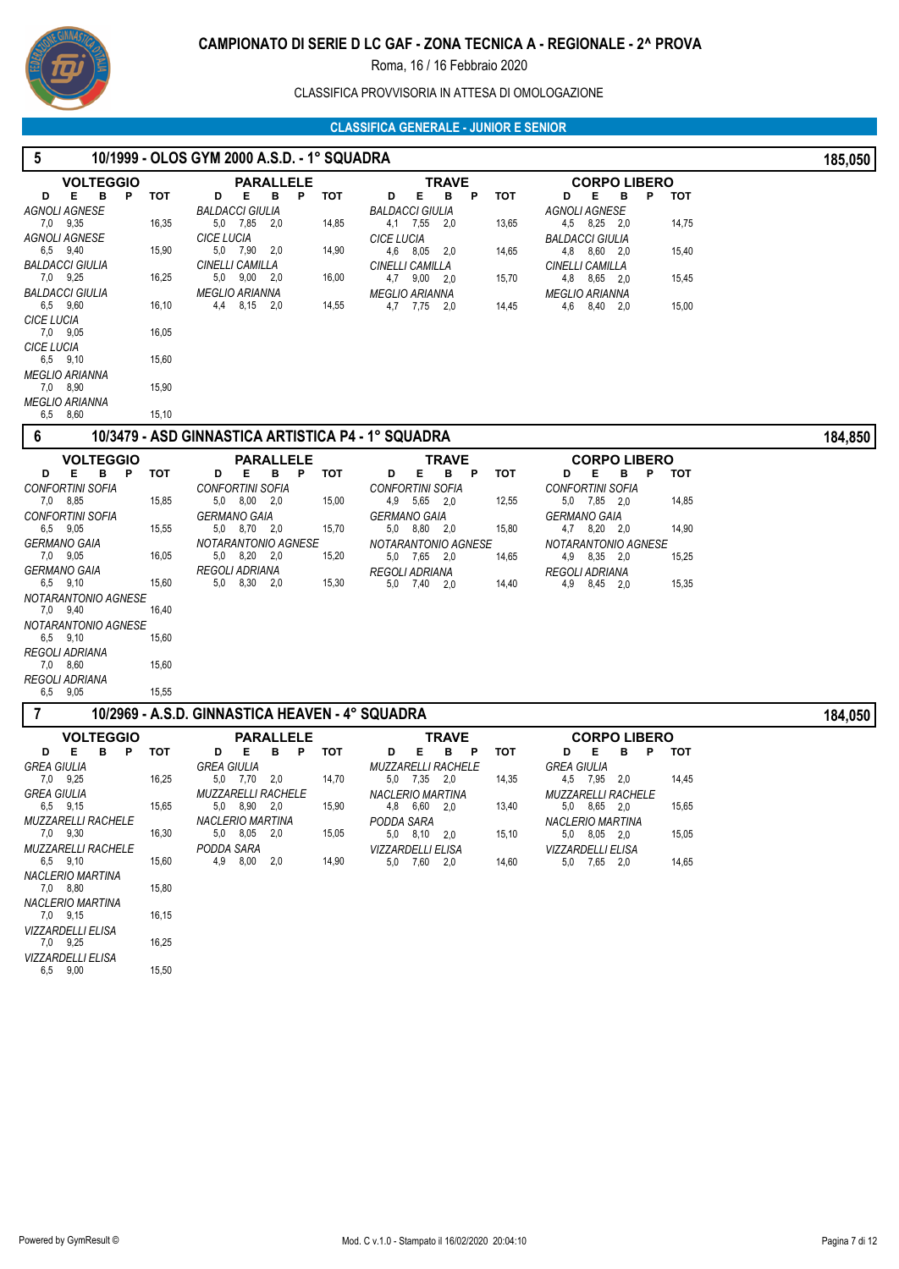

# CLASSIFICA PROVVISORIA IN ATTESA DI OMOLOGAZIONE

| 5                                             |       | 10/1999 - OLOS GYM 2000 A.S.D. - 1° SQUADRA        |       |                                                |            |                                             |       | 185,050 |
|-----------------------------------------------|-------|----------------------------------------------------|-------|------------------------------------------------|------------|---------------------------------------------|-------|---------|
| <b>VOLTEGGIO</b>                              |       | <b>PARALLELE</b>                                   |       | <b>TRAVE</b>                                   |            | <b>CORPO LIBERO</b>                         |       |         |
| E.<br>в<br>P<br>D<br>AGNOLI AGNESE            | тот   | в<br>P<br>Е<br>D<br>BALDACCI GIULIA                | тот   | E.<br>в<br>P<br>D<br><b>BALDACCI GIULIA</b>    | <b>TOT</b> | Е<br>P.<br>D<br>в<br>AGNOLI AGNESE          | тот   |         |
| 7,0 9,35                                      | 16,35 | 5,0 7,85<br>2,0                                    | 14,85 | 4,1 7,55 2,0                                   | 13,65      | 4,5 8,25 2,0                                | 14,75 |         |
| AGNOLI AGNESE                                 |       | <b>CICE LUCIA</b>                                  |       | <b>CICE LUCIA</b>                              |            | <b>BALDACCI GIULIA</b>                      |       |         |
| 6,5 9,40<br>BALDACCI GIULIA                   | 15,90 | 5,0 7,90 2,0<br>CINELLI CAMILLA                    | 14,90 | 4,6 8,05 2,0<br>CINELLI CAMILLA                | 14,65      | 4,8 8,60 2,0<br>CINELLI CAMILLA             | 15,40 |         |
| 7,0 9,25                                      | 16,25 | 5,0 9,00 2,0                                       | 16,00 | 4,7 9,00 2,0                                   | 15,70      | 4,8 8,65 2,0                                | 15,45 |         |
| <b>BALDACCI GIULIA</b><br>6,5 9,60            | 16,10 | <b>MEGLIO ARIANNA</b><br>4,4 8,15 2,0              | 14,55 | <b>MEGLIO ARIANNA</b>                          |            | <b>MEGLIO ARIANNA</b>                       |       |         |
| <b>CICE LUCIA</b>                             |       |                                                    |       | 4,7 7,75 2,0                                   | 14,45      | 8,40 2,0<br>4,6                             | 15,00 |         |
| 7,0 9,05                                      | 16,05 |                                                    |       |                                                |            |                                             |       |         |
| <b>CICE LUCIA</b><br>6,5 9,10                 | 15,60 |                                                    |       |                                                |            |                                             |       |         |
| MEGLIO ARIANNA                                |       |                                                    |       |                                                |            |                                             |       |         |
| 7,0 8,90<br><b>MEGLIO ARIANNA</b>             | 15,90 |                                                    |       |                                                |            |                                             |       |         |
| 6,5 8,60                                      | 15,10 |                                                    |       |                                                |            |                                             |       |         |
| 6                                             |       | 10/3479 - ASD GINNASTICA ARTISTICA P4 - 1° SQUADRA |       |                                                |            |                                             |       | 184,850 |
| <b>VOLTEGGIO</b>                              |       | <b>PARALLELE</b>                                   |       | <b>TRAVE</b>                                   |            | <b>CORPO LIBERO</b>                         |       |         |
| в<br>Е<br>- P<br>D<br><b>CONFORTINI SOFIA</b> | тот   | D<br>Е<br>в<br>P<br><b>CONFORTINI SOFIA</b>        | тот   | Е<br>D<br>в<br>P<br><b>CONFORTINI SOFIA</b>    | <b>TOT</b> | D<br>Е<br>в<br>P<br><b>CONFORTINI SOFIA</b> | тот   |         |
| 7,0 8,85                                      | 15,85 | 5,0 8,00 2,0                                       | 15,00 | 4,9 5,65 2,0                                   | 12,55      | 5,0 7,85 2,0                                | 14,85 |         |
| <b>CONFORTINI SOFIA</b>                       |       | <b>GERMANO GAIA</b>                                |       | <b>GERMANO GAIA</b>                            |            | <b>GERMANO GAIA</b>                         |       |         |
| 6,5 9,05<br><b>GERMANO GAIA</b>               | 15,55 | 5.0 8.70 2.0<br>NOTARANTONIO AGNESE                | 15,70 | 5,0 8,80 2,0<br>NOTARANTONIO AGNESE            | 15,80      | 4,7 8,20 2,0<br>NOTARANTONIO AGNESE         | 14,90 |         |
| 7,0 9,05                                      | 16,05 | 5,0 8,20 2,0                                       | 15,20 | 5,0 7,65 2,0                                   | 14,65      | 4,9 8,35 2,0                                | 15,25 |         |
| <b>GERMANO GAIA</b><br>6,5 9,10               | 15,60 | REGOLI ADRIANA<br>8,30 2,0<br>5,0                  | 15,30 | REGOLI ADRIANA<br>5,0 7,40 2,0                 | 14,40      | <b>REGOLI ADRIANA</b><br>4,9 8,45 2,0       | 15,35 |         |
| NOTARANTONIO AGNESE                           |       |                                                    |       |                                                |            |                                             |       |         |
| 7,0 9,40                                      | 16,40 |                                                    |       |                                                |            |                                             |       |         |
| NOTARANTONIO AGNESE<br>6,5 9,10               | 15,60 |                                                    |       |                                                |            |                                             |       |         |
| REGOLI ADRIANA                                |       |                                                    |       |                                                |            |                                             |       |         |
| 7,0 8,60<br>REGOLI ADRIANA                    | 15,60 |                                                    |       |                                                |            |                                             |       |         |
| 6,5 9,05                                      | 15,55 |                                                    |       |                                                |            |                                             |       |         |
| 7                                             |       | 10/2969 - A.S.D. GINNASTICA HEAVEN - 4° SQUADRA    |       |                                                |            |                                             |       | 184,050 |
| <b>VOLTEGGIO</b>                              |       | <b>PARALLELE</b>                                   |       | <b>TRAVE</b>                                   |            | <b>CORPO LIBERO</b>                         |       |         |
| в<br>Е<br>P<br>D<br><b>GREA GIULIA</b>        | тот   | Е<br>в<br>D<br>P<br><b>GREA GIULIA</b>             | тот   | Е.<br>в<br>D<br>P<br><b>MUZZARELLI RACHELE</b> | тот        | Е<br>в<br>Ρ<br>D<br><b>GREA GIULIA</b>      | тот   |         |
| 7,0 9,25                                      | 16,25 | 5,0 7,70<br>2,0                                    | 14,70 | 5,0<br>7,35 2,0                                | 14,35      | 4,5 7,95<br>2,0                             | 14,45 |         |
| <b>GREA GIULIA</b>                            |       | <i>MUZZARELLI RACHELE</i>                          |       | <b>NACLERIO MARTINA</b>                        |            | <b>MUZZARELLI RACHELE</b>                   |       |         |
| 6,5 9,15<br><i>MUZZARELLI RACHELE</i>         | 15,65 | 5,0 8,90 2,0<br>NACLERIO MARTINA                   | 15,90 | 4,8 6,60 2,0<br>PODDA SARA                     | 13,40      | 5.0 8.65 2.0<br><b>NACLERIO MARTINA</b>     | 15,65 |         |
| 7,0 9,30                                      | 16,30 | 5,0 8,05 2,0                                       | 15,05 | 5,0 8,10 2,0                                   | 15,10      | 5,0 8,05 2,0                                | 15,05 |         |
| <b>MUZZARELLI RACHELE</b><br>6,5 9,10         | 15,60 | PODDA SARA<br>4,9 8,00<br>2,0                      | 14,90 | VIZZARDELLI ELISA<br>5,0 7,60 2,0              | 14,60      | VIZZARDELLI ELISA<br>5,0 7,65 2,0           | 14,65 |         |
| NACLERIO MARTINA                              |       |                                                    |       |                                                |            |                                             |       |         |
| 7,0 8,80<br><b>NACLERIO MARTINA</b>           | 15,80 |                                                    |       |                                                |            |                                             |       |         |
| 7,0 9,15                                      | 16,15 |                                                    |       |                                                |            |                                             |       |         |
| <b>VIZZARDELLI ELISA</b>                      |       |                                                    |       |                                                |            |                                             |       |         |
| 7,0 9,25<br>VIZZARDELLI ELISA                 | 16,25 |                                                    |       |                                                |            |                                             |       |         |
| 6,5 9,00                                      | 15,50 |                                                    |       |                                                |            |                                             |       |         |
|                                               |       |                                                    |       |                                                |            |                                             |       |         |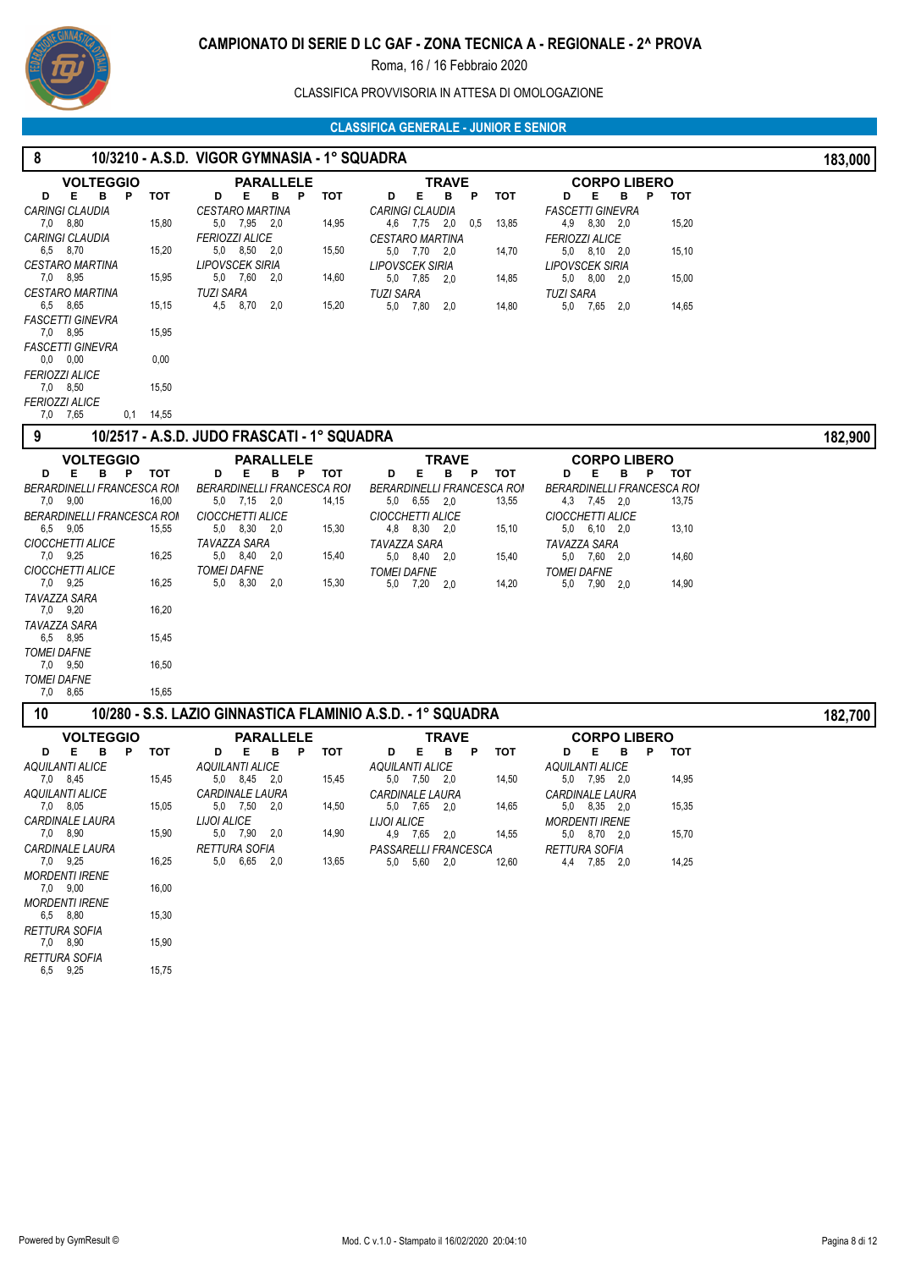

# CLASSIFICA PROVVISORIA IN ATTESA DI OMOLOGAZIONE

| 8                                      |             | 10/3210 - A.S.D. VIGOR GYMNASIA - 1° SQUADRA                |                                                 |                                                        | 183,000 |
|----------------------------------------|-------------|-------------------------------------------------------------|-------------------------------------------------|--------------------------------------------------------|---------|
| <b>VOLTEGGIO</b>                       |             | <b>PARALLELE</b>                                            | <b>TRAVE</b>                                    | <b>CORPO LIBERO</b>                                    |         |
| В<br>E.<br>P<br>D                      | тот         | D<br>Е.<br>в<br>тот<br>P                                    | Е<br>B<br>P<br>тот<br>D                         | D<br>Е<br>в<br>P<br>тот                                |         |
| <b>CARINGI CLAUDIA</b>                 |             | <b>CESTARO MARTINA</b>                                      | CARINGI CLAUDIA                                 | <b>FASCETTI GINEVRA</b>                                |         |
| 7,0 8,80                               | 15,80       | 5,0 7,95 2,0<br>14,95<br><b>FERIOZZI ALICE</b>              | 4,6 7,75 2,0<br>0,5<br>13,85                    | 4,9 8,30 2,0<br>15,20                                  |         |
| <b>CARINGI CLAUDIA</b><br>6,5 8,70     | 15,20       | 5,0 8,50 2,0<br>15,50                                       | <b>CESTARO MARTINA</b><br>5,0 7,70 2,0<br>14,70 | <b>FERIOZZI ALICE</b><br>15,10<br>5,0 8,10 2,0         |         |
| <b>CESTARO MARTINA</b>                 |             | LIPOVSCEK SIRIA                                             | LIPOVSCEK SIRIA                                 | LIPOVSCEK SIRIA                                        |         |
| 7,0 8,95                               | 15,95       | 5,0 7,60 2,0<br>14,60                                       | 5,0 7,85 2,0<br>14,85                           | 15,00<br>$5,0$ $8,00$ $2,0$                            |         |
| <b>CESTARO MARTINA</b>                 |             | <b>TUZI SARA</b>                                            | <b>TUZI SARA</b>                                | <b>TUZI SARA</b>                                       |         |
| 6,5 8,65<br><b>FASCETTI GINEVRA</b>    | 15,15       | 4,5 8,70 2,0<br>15,20                                       | 5,0 7,80<br>14,80<br>-2,0                       | 5,0 7,65 2,0<br>14,65                                  |         |
| 7,0 8,95                               | 15,95       |                                                             |                                                 |                                                        |         |
| <b>FASCETTI GINEVRA</b>                |             |                                                             |                                                 |                                                        |         |
| $0,0$ $0,00$                           | 0,00        |                                                             |                                                 |                                                        |         |
| <b>FERIOZZI ALICE</b><br>7,0 8,50      | 15,50       |                                                             |                                                 |                                                        |         |
| <b>FERIOZZI ALICE</b>                  |             |                                                             |                                                 |                                                        |         |
| 7,0 7,65                               | $0,1$ 14,55 |                                                             |                                                 |                                                        |         |
| 9                                      |             | 10/2517 - A.S.D. JUDO FRASCATI - 1° SQUADRA                 |                                                 |                                                        | 182,900 |
| <b>VOLTEGGIO</b>                       |             | <b>PARALLELE</b>                                            | <b>TRAVE</b>                                    | <b>CORPO LIBERO</b>                                    |         |
| Е<br>в<br>D<br>P                       | тот         | в<br>тот<br>D<br>Е<br>P                                     | <b>TOT</b><br>D<br>Е<br>в<br>Ρ                  | D<br>Е<br>в<br>тот<br>P                                |         |
| <b>BERARDINELLI FRANCESCA ROI</b>      |             | <b>BERARDINELLI FRANCESCA ROM</b>                           | BERARDINELLI FRANCESCA ROI                      | BERARDINELLI FRANCESCA ROI                             |         |
| 7,0 9,00                               | 16,00       | $5,0$ $7,15$ $2,0$<br>14,15                                 | 5,0 6,55 2,0<br>13,55                           | 4,3 7,45 2,0<br>13,75                                  |         |
| BERARDINELLI FRANCESCA ROI<br>6,5 9,05 | 15,55       | <b>CIOCCHETTI ALICE</b><br>5.0 8.30 2.0<br>15,30            | CIOCCHETTI ALICE<br>4,8 8,30<br>2,0<br>15,10    | <b>CIOCCHETTI ALICE</b><br>13,10<br>$5,0$ $6,10$ $2,0$ |         |
| CIOCCHETTI ALICE                       |             | TAVAZZA SARA                                                | TAVAZZA SARA                                    | TAVAZZA SARA                                           |         |
| 7,0 9,25                               | 16,25       | 5.0 8.40 2.0<br>15,40                                       | 5,0 8,40 2,0<br>15,40                           | 14,60<br>5,0 7,60 2,0                                  |         |
| CIOCCHETTI ALICE                       |             | <b>TOMEI DAFNE</b>                                          | <b>TOMEI DAFNE</b>                              | <b>TOMEI DAFNE</b>                                     |         |
| 7,0 9,25                               | 16,25       | 5,0 8,30<br>2,0<br>15,30                                    | 14,20<br>5,0 7,20<br>2,0                        | 14,90<br>5,0 7,90 2,0                                  |         |
| TAVAZZA SARA<br>7,0 9,20               | 16,20       |                                                             |                                                 |                                                        |         |
| TAVAZZA SARA                           |             |                                                             |                                                 |                                                        |         |
| 6,5 8,95                               | 15,45       |                                                             |                                                 |                                                        |         |
| <b>TOMEI DAFNE</b>                     |             |                                                             |                                                 |                                                        |         |
| 7,0 9,50<br><b>TOMEI DAFNE</b>         | 16,50       |                                                             |                                                 |                                                        |         |
| 8,65<br>7,0                            | 15,65       |                                                             |                                                 |                                                        |         |
| 10                                     |             | 10/280 - S.S. LAZIO GINNASTICA FLAMINIO A.S.D. - 1° SQUADRA |                                                 |                                                        | 182,700 |
| <b>VOLTEGGIO</b>                       |             | <b>PARALLELE</b>                                            | <b>TRAVE</b>                                    | <b>CORPO LIBERO</b>                                    |         |
| Е<br>в<br>P<br>D                       | тот         | Е<br>в<br>P<br>тот<br>D                                     | Е<br>в<br>P<br>тот<br>D                         | Е<br>D<br>в<br>P<br><b>TOT</b>                         |         |
| <b>AQUILANTI ALICE</b>                 |             | <b>AQUILANTI ALICE</b>                                      | <b>AQUILANTI ALICE</b>                          | <b>AQUILANTI ALICE</b>                                 |         |
| 7,0 8,45                               | 15,45       | 5,0 8,45 2,0<br>15,45                                       | 5,0 7,50 2,0<br>14,50                           | 5,0 7,95 2,0<br>14,95                                  |         |
| AQUILANTI ALICE<br>7,0 8,05            | 15,05       | <i><b>CARDINALE LAURA</b></i><br>5,0 7,50 2,0<br>14,50      | <b>CARDINALE LAURA</b><br>5,0 7,65 2,0<br>14,65 | <i><b>CARDINALE LAURA</b></i><br>5,0 8,35 2,0<br>15,35 |         |
| <i><b>CARDINALE LAURA</b></i>          |             | <b>LIJOI ALICE</b>                                          | <b>LIJOI ALICE</b>                              | <b>MORDENTI IRENE</b>                                  |         |
| 7,0 8,90                               | 15,90       | 5,0 7,90 2,0<br>14,90                                       | 4,9 7,65 2,0<br>14,55                           | 5,0 8,70 2,0<br>15,70                                  |         |
| <b>CARDINALE LAURA</b>                 |             | <b>RETTURA SOFIA</b>                                        | PASSARELLI FRANCESCA                            | RETTURA SOFIA                                          |         |
| 7,0 9,25                               | 16,25       | 5,0 6,65 2,0<br>13,65                                       | 5,0 5,60 2,0<br>12,60                           | 14,25<br>4,4 7,85 2,0                                  |         |
| <b>MORDENTI IRENE</b><br>7,0 9,00      | 16,00       |                                                             |                                                 |                                                        |         |
| <b>MORDENTI IRENE</b>                  |             |                                                             |                                                 |                                                        |         |
| 6,5 8,80                               | 15,30       |                                                             |                                                 |                                                        |         |
| <b>RETTURA SOFIA</b>                   |             |                                                             |                                                 |                                                        |         |
| 7,0 8,90<br><b>RETTURA SOFIA</b>       | 15,90       |                                                             |                                                 |                                                        |         |
| 6,5 9,25                               | 15,75       |                                                             |                                                 |                                                        |         |
|                                        |             |                                                             |                                                 |                                                        |         |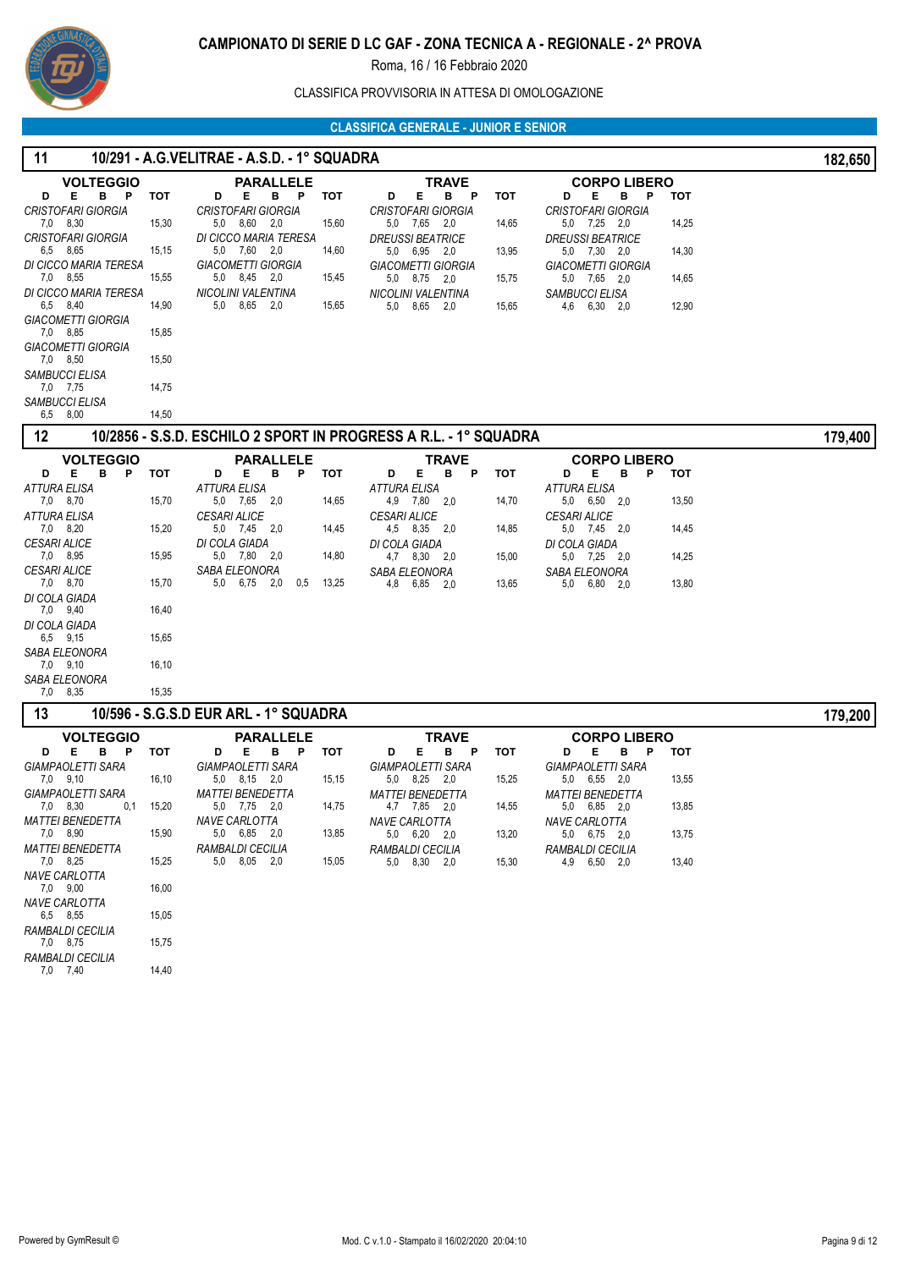

CLASSIFICA PROVVISORIA IN ATTESA DI OMOLOGAZIONE

| 11                                         |       | 10/291 - A.G.VELITRAE - A.S.D. - 1° SQUADRA |       |                                                                  |            |                                              |            | 182,650 |
|--------------------------------------------|-------|---------------------------------------------|-------|------------------------------------------------------------------|------------|----------------------------------------------|------------|---------|
| <b>VOLTEGGIO</b>                           |       | <b>PARALLELE</b>                            |       | TRAVE                                                            |            | <b>CORPO LIBERO</b>                          |            |         |
| Е<br>в<br>P<br>D                           | тот   | D<br>Е<br>в<br>P                            | тот   | Е<br>в<br>D<br>P                                                 | тот        | D<br>Е<br>в<br>P                             | <b>TOT</b> |         |
| <b>CRISTOFARI GIORGIA</b><br>7,0 8,30      | 15,30 | <b>CRISTOFARI GIORGIA</b><br>5,0 8,60 2,0   | 15,60 | CRISTOFARI GIORGIA<br>5,0 7,65 2,0                               | 14,65      | <b>CRISTOFARI GIORGIA</b><br>5,0 7,25 2,0    | 14,25      |         |
| <b>CRISTOFARI GIORGIA</b>                  |       | DI CICCO MARIA TERESA                       |       | <b>DREUSSI BEATRICE</b>                                          |            | <b>DREUSSI BEATRICE</b>                      |            |         |
| 6,5 8,65<br>DI CICCO MARIA TERESA          | 15,15 | 5,0 7,60 2,0<br><b>GIACOMETTI GIORGIA</b>   | 14,60 | 5,0 6,95 2,0<br><b>GIACOMETTI GIORGIA</b>                        | 13,95      | 5,0 7,30 2,0<br><b>GIACOMETTI GIORGIA</b>    | 14,30      |         |
| 7,0 8,55                                   | 15,55 | 5,0 8,45 2,0                                | 15,45 | 5,0 8,75 2,0                                                     | 15,75      | 5,0 7,65 2,0                                 | 14,65      |         |
| DI CICCO MARIA TERESA<br>6,5 8,40          | 14,90 | <b>NICOLINI VALENTINA</b><br>5,0 8,65 2,0   | 15,65 | <b>NICOLINI VALENTINA</b><br>5,0 8,65 2,0                        | 15,65      | SAMBUCCI ELISA<br>4,6 6,30 2,0               | 12,90      |         |
| <b>GIACOMETTI GIORGIA</b>                  |       |                                             |       |                                                                  |            |                                              |            |         |
| 7,0 8,85                                   | 15,85 |                                             |       |                                                                  |            |                                              |            |         |
| <b>GIACOMETTI GIORGIA</b><br>7,0 8,50      | 15,50 |                                             |       |                                                                  |            |                                              |            |         |
| SAMBUCCI ELISA                             |       |                                             |       |                                                                  |            |                                              |            |         |
| 7,0 7,75<br>SAMBUCCI ELISA                 | 14,75 |                                             |       |                                                                  |            |                                              |            |         |
| 6,5 8,00                                   | 14,50 |                                             |       |                                                                  |            |                                              |            |         |
| 12                                         |       |                                             |       | 10/2856 - S.S.D. ESCHILO 2 SPORT IN PROGRESS A R.L. - 1° SQUADRA |            |                                              |            | 179,400 |
| <b>VOLTEGGIO</b>                           |       | <b>PARALLELE</b>                            |       | TRAVE                                                            |            | <b>CORPO LIBERO</b>                          |            |         |
| Е<br>в<br>P<br>D<br><b>ATTURA ELISA</b>    | тот   | Е<br>в<br>P<br>D<br>ATTURA ELISA            | тот   | Е<br>в<br>D<br>P<br><b>ATTURA ELISA</b>                          | <b>TOT</b> | Е<br>в<br>P<br>D<br><b>ATTURA ELISA</b>      | <b>TOT</b> |         |
| 7,0 8,70                                   | 15,70 | 5,0 7,65<br>2,0                             | 14,65 | 4,9 7,80<br>2,0                                                  | 14,70      | 5,0 6,50<br>2,0                              | 13,50      |         |
| <b>ATTURA ELISA</b>                        |       | <b>CESARI ALICE</b>                         |       | <b>CESARI ALICE</b>                                              |            | <b>CESARI ALICE</b>                          |            |         |
| 7,0 8,20<br><b>CESARI ALICE</b>            | 15,20 | 5,0 7,45 2,0<br>DI COLA GIADA               | 14,45 | 4,5 8,35 2,0<br>DI COLA GIADA                                    | 14,85      | 5,0 7,45 2,0<br>DI COLA GIADA                | 14,45      |         |
| 7,0 8,95                                   | 15,95 | 5,0 7,80 2,0                                | 14,80 | 4,7 8,30 2,0                                                     | 15,00      | 5,0 7,25 2,0                                 | 14,25      |         |
| <b>CESARI ALICE</b><br>7,0 8,70            | 15,70 | SABA ELEONORA<br>5,0 6,75 2,0<br>0,5        | 13,25 | SABA ELEONORA<br>6,85 2,0<br>4,8                                 | 13,65      | SABA ELEONORA<br>5,0<br>$6,80$ 2,0           | 13,80      |         |
| DI COLA GIADA                              |       |                                             |       |                                                                  |            |                                              |            |         |
| 7,0 9,40<br>DI COLA GIADA                  | 16,40 |                                             |       |                                                                  |            |                                              |            |         |
| 6,5 9,15                                   | 15,65 |                                             |       |                                                                  |            |                                              |            |         |
| SABA ELEONORA                              |       |                                             |       |                                                                  |            |                                              |            |         |
| 7,0 9,10<br>SABA ELEONORA                  | 16,10 |                                             |       |                                                                  |            |                                              |            |         |
| 7,0<br>8,35                                | 15,35 |                                             |       |                                                                  |            |                                              |            |         |
| 13                                         |       | 10/596 - S.G.S.D EUR ARL - 1° SQUADRA       |       |                                                                  |            |                                              |            | 179,200 |
| <b>VOLTEGGIO</b>                           |       | PARALLELE                                   |       | TRAVE                                                            |            | <b>CORPO LIBERO</b>                          |            |         |
| B P<br>Е<br>D<br><b>GIAMPAOLETTI SARA</b>  | тот   | Е<br>B P<br>D<br><b>GIAMPAOLETTI SARA</b>   | тот   | E.<br>в<br>D<br>- P<br><b>GIAMPAOLETTI SARA</b>                  | тот        | Е<br>в<br>P<br>D<br><b>GIAMPAOLETTI SARA</b> | тот        |         |
| 7,0 9,10                                   | 16,10 | 5,0 8,15 2,0                                | 15,15 | 5,0 8,25 2,0                                                     | 15,25      | 5,0 6,55 2,0                                 | 13,55      |         |
| GIAMPAOLETTI SARA                          |       | <b>MATTEI BENEDETTA</b>                     |       | <b>MATTEI BENEDETTA</b>                                          |            | <b>MATTEI BENEDETTA</b>                      |            |         |
| 7,0 8,30<br>0,1<br><b>MATTEI BENEDETTA</b> | 15,20 | 5,0 7,75 2,0<br>NAVE CARLOTTA               | 14,75 | 4,7 7,85 2,0<br>NAVE CARLOTTA                                    | 14,55      | 5,0 6,85 2,0<br>NAVE CARLOTTA                | 13,85      |         |
| 7,0 8,90                                   | 15,90 | 5,0 6,85 2,0                                | 13,85 | 5,0 6,20 2,0                                                     | 13,20      | 5,0 6,75 2,0                                 | 13,75      |         |
| <b>MATTEI BENEDETTA</b><br>7,0 8,25        | 15,25 | RAMBALDI CECILIA<br>5,0 8,05 2,0            | 15,05 | <b>RAMBALDI CECILIA</b><br>5,0 8,30 2,0                          | 15,30      | RAMBALDI CECILIA<br>4,9 6,50 2,0             | 13,40      |         |
| <b>NAVE CARLOTTA</b>                       |       |                                             |       |                                                                  |            |                                              |            |         |
| 7,0 9,00<br><b>NAVE CARLOTTA</b>           | 16,00 |                                             |       |                                                                  |            |                                              |            |         |
| 6,5 8,55                                   | 15,05 |                                             |       |                                                                  |            |                                              |            |         |
| RAMBALDI CECILIA<br>7,0 8,75               |       |                                             |       |                                                                  |            |                                              |            |         |
| RAMBALDI CECILIA                           | 15,75 |                                             |       |                                                                  |            |                                              |            |         |
| 7,0 7,40                                   | 14,40 |                                             |       |                                                                  |            |                                              |            |         |
|                                            |       |                                             |       |                                                                  |            |                                              |            |         |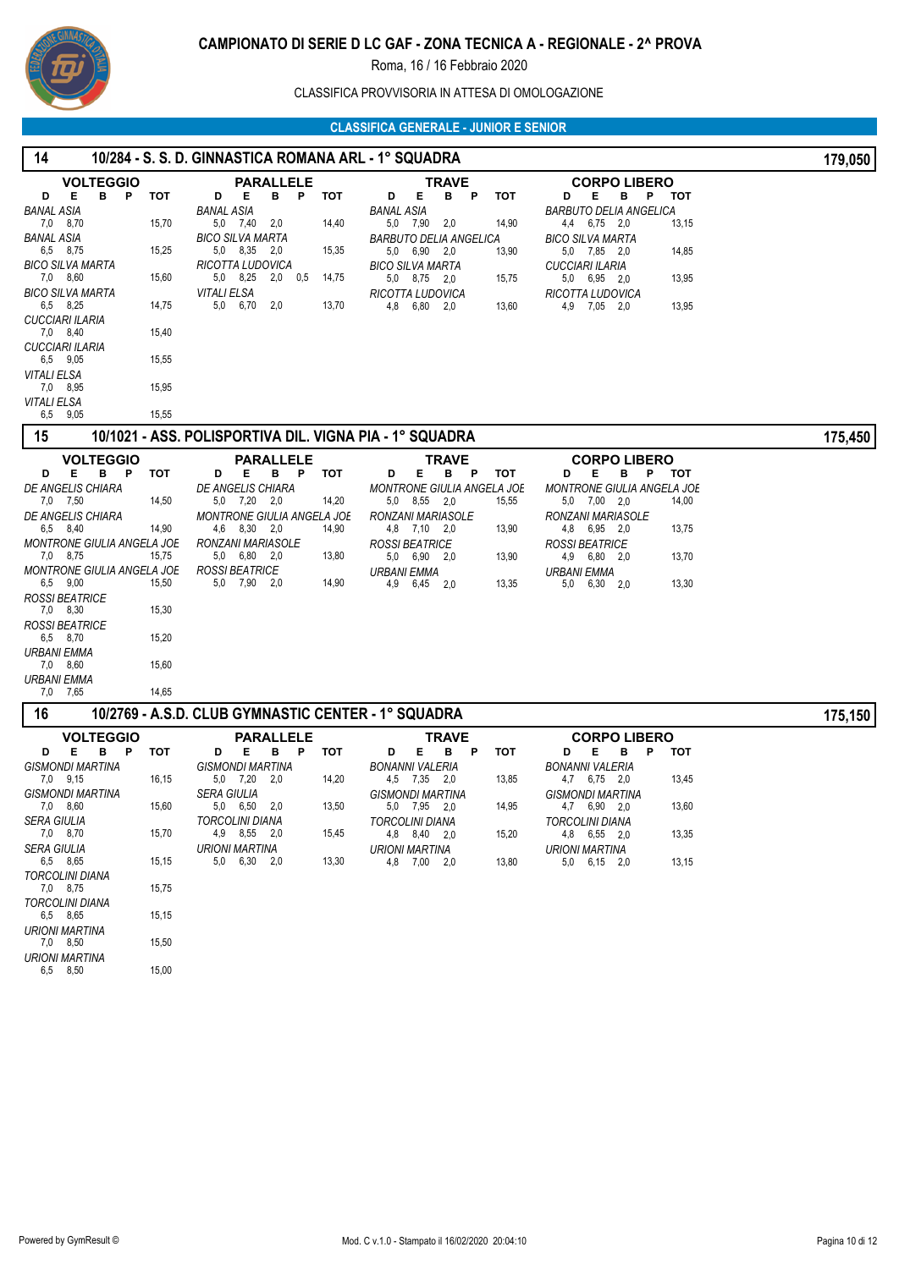

# CLASSIFICA PROVVISORIA IN ATTESA DI OMOLOGAZIONE

| <b>VOLTEGGIO</b><br><b>PARALLELE</b><br><b>TRAVE</b><br><b>CORPO LIBERO</b>                                                                                                                                                                                                                                                                                               |         |
|---------------------------------------------------------------------------------------------------------------------------------------------------------------------------------------------------------------------------------------------------------------------------------------------------------------------------------------------------------------------------|---------|
| в<br>тот<br>р тот<br>P<br>D<br>Е<br>P<br>D<br>Е<br>в<br>Е.<br>в<br>тот<br>D<br>Е<br>В<br>P<br>тот<br>D<br><b>BANAL ASIA</b><br><b>BARBUTO DELIA ANGELICA</b><br><b>BANAL ASIA</b><br>BANAL ASIA<br>7,0<br>8,70<br>15,70<br>5,0 7,40<br>2,0<br>14,40<br>5,0 7,90 2,0<br>14,90<br>4,4 6,75 2,0<br>13,15<br><b>BANAL ASIA</b><br><b>BICO SILVA MARTA</b><br>BICO SILVA MARTA |         |
| <b>BARBUTO DELIA ANGELICA</b><br>15,25<br>6,5 8,75<br>5,0 8,35 2,0<br>15,35<br>5,0 6,90 2,0<br>13,90<br>5,0 7,85 2,0<br>14,85<br><b>BICO SILVA MARTA</b><br>RICOTTA LUDOVICA<br><b>BICO SILVA MARTA</b><br>CUCCIARI ILARIA                                                                                                                                                |         |
| 5,0 8,25 2,0 0,5<br>7,0 8,60<br>15,60<br>14,75<br>13,95<br>5,0 8,75 2,0<br>15,75<br>5,0 6,95 2,0<br><b>BICO SILVA MARTA</b><br>VITALI ELSA<br>RICOTTA LUDOVICA<br>RICOTTA LUDOVICA                                                                                                                                                                                        |         |
| 5,0 6,70<br>2,0<br>6,5 8,25<br>14,75<br>13,70<br>4,8 6,80 2,0<br>4,9 7,05 2,0<br>13,95<br>13,60<br><b>CUCCIARI ILARIA</b>                                                                                                                                                                                                                                                 |         |
| 7,0 8,40<br>15,40<br><b>CUCCIARI ILARIA</b>                                                                                                                                                                                                                                                                                                                               |         |
| 6,5 9,05<br>15,55<br>VITALI ELSA                                                                                                                                                                                                                                                                                                                                          |         |
| 15,95<br>7,0 8,95<br>VITALI ELSA                                                                                                                                                                                                                                                                                                                                          |         |
| 9,05<br>15,55<br>6,5                                                                                                                                                                                                                                                                                                                                                      |         |
| 15<br>10/1021 - ASS. POLISPORTIVA DIL. VIGNA PIA - 1° SQUADRA                                                                                                                                                                                                                                                                                                             | 175,450 |
| <b>VOLTEGGIO</b><br><b>PARALLELE</b><br>TRAVE<br><b>CORPO LIBERO</b><br>в<br>Е<br>в<br><b>TOT</b><br>Е<br>Е.<br>$\mathsf{P}$<br>тот<br>Е<br>в<br>тот<br>Ρ<br>D<br>в<br>P<br>тот<br>D<br>D<br>P<br>D                                                                                                                                                                       |         |
| DE ANGELIS CHIARA<br>DE ANGELIS CHIARA<br><b>MONTRONE GIULIA ANGELA JOE</b><br><b>MONTRONE GIULIA ANGELA JOE</b><br>14,50<br>14,20<br>7,0 7,50<br>5,0 7,20 2,0<br>5,0 8,55 2,0<br>15,55<br>5,0 7,00 2,0<br>14,00                                                                                                                                                          |         |
| <b>DE ANGELIS CHIARA</b><br>MONTRONE GIULIA ANGELA JOE<br><b>RONZANI MARIASOLE</b><br>RONZANI MARIASOLE<br>6,5 8,40<br>14,90<br>4,6 8,30 2,0<br>14,90<br>4,8 7,10 2,0<br>13,90<br>4,8 6,95 2,0<br>13,75                                                                                                                                                                   |         |
| MONTRONE GIULIA ANGELA JOE<br>RONZANI MARIASOLE<br><b>ROSSI BEATRICE</b><br><b>ROSSI BEATRICE</b><br>7,0 8,75<br>15,75<br>5,0 6,80 2,0<br>13,80<br>5,0 6,90 2,0<br>4,9 6,80 2,0<br>13,90<br>13,70                                                                                                                                                                         |         |
| <b>ROSSI BEATRICE</b><br><b>MONTRONE GIULIA ANGELA JOE</b><br><b>URBANI EMMA</b><br><b>URBANI EMMA</b><br>6,5 9,00<br>15,50<br>5,0 7,90 2,0<br>14,90<br>4,9<br>$6,30$ $2,0$<br>13,30<br>6,45<br>2,0<br>13,35<br>5,0                                                                                                                                                       |         |
| <b>ROSSI BEATRICE</b><br>15,30<br>7,0 8,30                                                                                                                                                                                                                                                                                                                                |         |
| <b>ROSSI BEATRICE</b><br>6,5 8,70<br>15,20                                                                                                                                                                                                                                                                                                                                |         |
| <b>URBANI EMMA</b><br>7,0 8,60<br>15,60                                                                                                                                                                                                                                                                                                                                   |         |
| <b>URBANI EMMA</b><br>7,65<br>14,65<br>7,0                                                                                                                                                                                                                                                                                                                                |         |
| 10/2769 - A.S.D. CLUB GYMNASTIC CENTER - 1° SQUADRA<br>16                                                                                                                                                                                                                                                                                                                 | 175,150 |
| <b>VOLTEGGIO</b><br><b>PARALLELE</b><br><b>TRAVE</b><br><b>CORPO LIBERO</b><br>Е.<br>в<br>P<br>тот<br>Е<br>в<br>P<br>тот<br>E.<br>в<br>P<br>тот<br>D<br>Е<br>в<br>P<br><b>TOT</b><br>D<br>D<br>D                                                                                                                                                                          |         |
| <b>GISMONDI MARTINA</b><br><b>GISMONDI MARTINA</b><br><b>BONANNI VALERIA</b><br>BONANNI VALERIA<br>7,0 9,15<br>16,15<br>5,0 7,20<br>14,20<br>4,5 7,35 2,0<br>13,85<br>4,7 6,75 2,0<br>13,45<br>-2,0                                                                                                                                                                       |         |
| <b>GISMONDI MARTINA</b><br>SERA GIULIA<br>GISMONDI MARTINA<br>GISMONDI MARTINA<br>13,60<br>7,0 8,60<br>15,60<br>5,0 6,50<br>-2,0<br>13,50<br>5,0 7,95 2,0<br>14,95<br>4,7 6,90 2,0                                                                                                                                                                                        |         |
| SERA GIULIA<br>TORCOLINI DIANA<br><b>TORCOLINI DIANA</b><br><b>TORCOLINI DIANA</b><br>7,0 8,70<br>4,9 8,55 2,0<br>15,70<br>15,45<br>4,8 8,40 2,0<br>15,20<br>4,8 6,55 2,0<br>13,35                                                                                                                                                                                        |         |
| <b>SERA GIULIA</b><br><b>URIONI MARTINA</b><br><b>URIONI MARTINA</b><br><b>URIONI MARTINA</b><br>15,15<br>13,30<br>6,5 8,65<br>5,0 6,30 2,0<br>4,8 7,00 2,0<br>13,80<br>5,0 6,15 2,0<br>13,15                                                                                                                                                                             |         |
| <b>TORCOLINI DIANA</b><br>7,0 8,75<br>15,75                                                                                                                                                                                                                                                                                                                               |         |
| <b>TORCOLINI DIANA</b><br>6,5 8,65<br>15,15                                                                                                                                                                                                                                                                                                                               |         |
| <b>URIONI MARTINA</b><br>7,0 8,50<br>15,50                                                                                                                                                                                                                                                                                                                                |         |
| <b>URIONI MARTINA</b><br>15,00<br>6,5 8,50                                                                                                                                                                                                                                                                                                                                |         |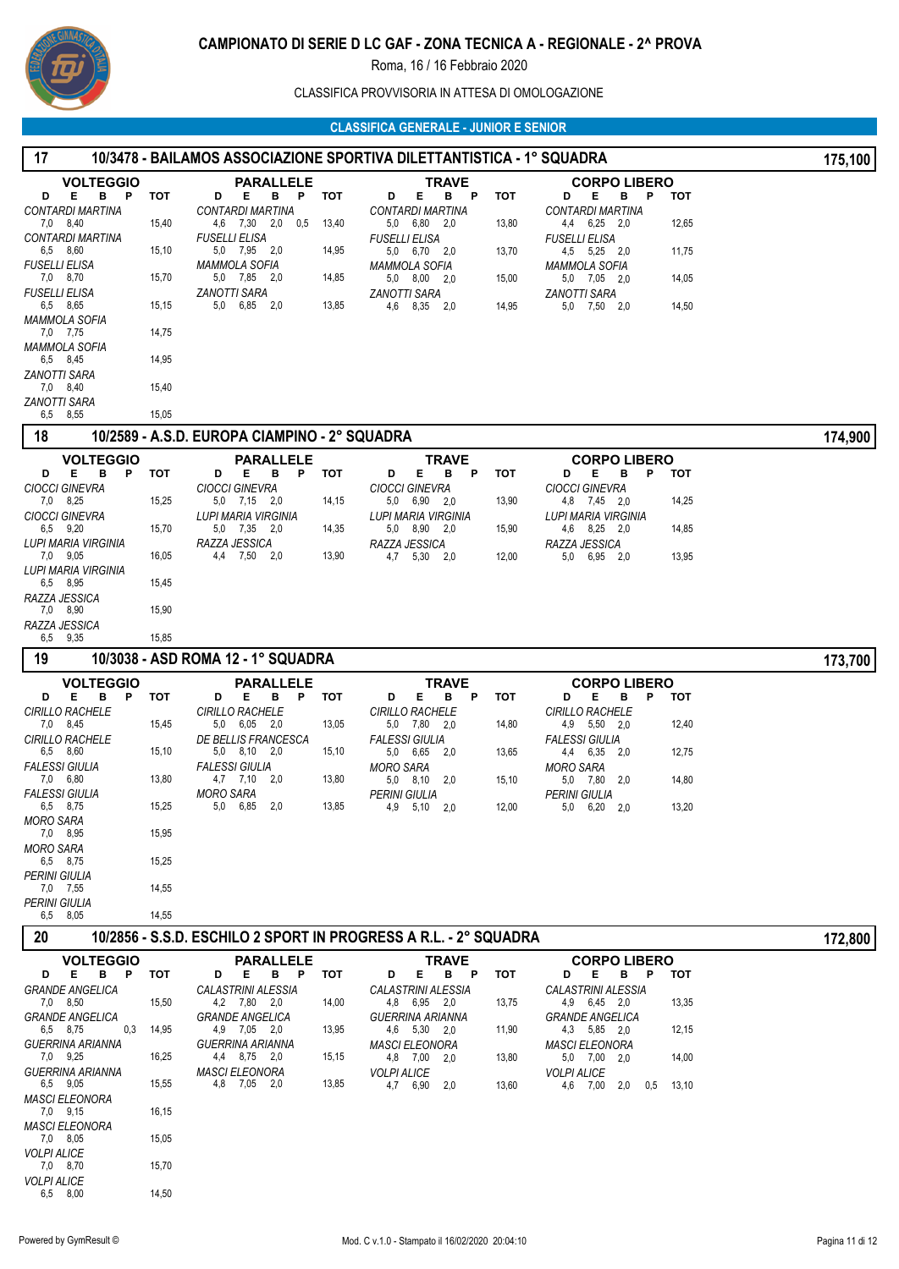

CLASSIFICA PROVVISORIA IN ATTESA DI OMOLOGAZIONE

| 17                                                  |            |                                               |       | 10/3478 - BAILAMOS ASSOCIAZIONE SPORTIVA DILETTANTISTICA - 1° SQUADRA |       |                                                        |       | 175,100 |
|-----------------------------------------------------|------------|-----------------------------------------------|-------|-----------------------------------------------------------------------|-------|--------------------------------------------------------|-------|---------|
| <b>VOLTEGGIO</b>                                    |            | <b>PARALLELE</b>                              |       | <b>TRAVE</b>                                                          |       | <b>CORPO LIBERO</b>                                    |       |         |
| B <sub>P</sub><br>E<br>D<br><b>CONTARDI MARTINA</b> | <b>TOT</b> | Е<br>B P<br>D<br><b>CONTARDI MARTINA</b>      | тот   | Е<br>B P<br>D<br><b>CONTARDI MARTINA</b>                              | тот   | в<br>$\mathbf{P}$<br>D<br>Е<br><b>CONTARDI MARTINA</b> | тот   |         |
| 7,0 8,40                                            | 15,40      | 4,6 7,30 2,0 0,5                              | 13,40 | 5,0 6,80 2,0                                                          | 13,80 | 4,4 6,25 2,0                                           | 12,65 |         |
| <b>CONTARDI MARTINA</b>                             |            | <b>FUSELLI ELISA</b>                          |       | <b>FUSELLI ELISA</b>                                                  |       | <b>FUSELLI ELISA</b>                                   |       |         |
| 6,5 8,60<br><b>FUSELLI ELISA</b>                    | 15,10      | 5,0 7,95 2,0<br><b>MAMMOLA SOFIA</b>          | 14,95 | 5,0 6,70 2,0<br><b>MAMMOLA SOFIA</b>                                  | 13,70 | 4,5 5,25 2,0<br><b>MAMMOLA SOFIA</b>                   | 11,75 |         |
| 7,0 8,70                                            | 15,70      | 5,0 7,85 2,0                                  | 14,85 | 5,0 8,00 2,0                                                          | 15,00 | 5,0 7,05 2,0                                           | 14,05 |         |
| <b>FUSELLI ELISA</b><br>6,5 8,65                    | 15,15      | ZANOTTI SARA<br>5,0 6,85 2,0                  | 13,85 | ZANOTTI SARA<br>4,6 8,35 2,0                                          | 14,95 | <b>ZANOTTI SARA</b><br>5,0 7,50 2,0                    | 14,50 |         |
| <b>MAMMOLA SOFIA</b><br>7,0 7,75                    | 14,75      |                                               |       |                                                                       |       |                                                        |       |         |
| <b>MAMMOLA SOFIA</b><br>6,5 8,45                    | 14,95      |                                               |       |                                                                       |       |                                                        |       |         |
| ZANOTTI SARA                                        |            |                                               |       |                                                                       |       |                                                        |       |         |
| 7,0 8,40<br><b>ZANOTTI SARA</b>                     | 15,40      |                                               |       |                                                                       |       |                                                        |       |         |
| 6,5 8,55                                            | 15,05      |                                               |       |                                                                       |       |                                                        |       |         |
| 18                                                  |            | 10/2589 - A.S.D. EUROPA CIAMPINO - 2° SQUADRA |       |                                                                       |       |                                                        |       | 174,900 |
| <b>VOLTEGGIO</b>                                    |            | <b>PARALLELE</b>                              |       | <b>TRAVE</b>                                                          |       | <b>CORPO LIBERO</b>                                    |       |         |
| в<br>D<br>Е<br>P<br><b>CIOCCI GINEVRA</b>           | тот        | D<br>Е<br>в<br>P<br><b>CIOCCI GINEVRA</b>     | тот   | в<br>D<br>Е<br>P<br><b>CIOCCI GINEVRA</b>                             | тот   | P<br>D<br>Е<br>в<br><b>CIOCCI GINEVRA</b>              | тот   |         |
| 7,0 8,25                                            | 15,25      | 5,0 7,15 2,0                                  | 14,15 | 5,0 6,90 2,0                                                          | 13,90 | 4,8 7,45 2,0                                           | 14,25 |         |
| <b>CIOCCI GINEVRA</b><br>6,5 9,20                   | 15,70      | LUPI MARIA VIRGINIA<br>5,0 7,35 2,0           | 14,35 | LUPI MARIA VIRGINIA<br>5,0 8,90<br>2,0                                | 15,90 | <b>LUPI MARIA VIRGINIA</b><br>4,6 8,25 2,0             | 14,85 |         |
| <b>LUPI MARIA VIRGINIA</b>                          |            | RAZZA JESSICA                                 |       | RAZZA JESSICA                                                         |       | RAZZA JESSICA                                          |       |         |
| 7.0 9.05<br>LUPI MARIA VIRGINIA                     | 16,05      | 4,4 7,50 2,0                                  | 13,90 | 4,7 5,30 2,0                                                          | 12,00 | 5,0<br>6,95 2,0                                        | 13,95 |         |
| 6,5 8,95                                            | 15,45      |                                               |       |                                                                       |       |                                                        |       |         |
| RAZZA JESSICA<br>7,0 8,90                           | 15,90      |                                               |       |                                                                       |       |                                                        |       |         |
| RAZZA JESSICA                                       |            |                                               |       |                                                                       |       |                                                        |       |         |
| 6,5 9,35                                            | 15,85      |                                               |       |                                                                       |       |                                                        |       |         |
| 19                                                  |            | 10/3038 - ASD ROMA 12 - 1° SQUADRA            |       |                                                                       |       |                                                        |       | 173,700 |
| <b>VOLTEGGIO</b><br>Е<br>в<br>P<br>D                | тот        | <b>PARALLELE</b><br>D<br>Е<br>в<br>P          | тот   | <b>TRAVE</b><br>Е<br>D<br>в<br>P                                      | тот   | <b>CORPO LIBERO</b><br>D<br>Е<br>в<br>P                | тот   |         |
| <b>CIRILLO RACHELE</b>                              |            | <b>CIRILLO RACHELE</b>                        |       | <b>CIRILLO RACHELE</b>                                                |       | <b>CIRILLO RACHELE</b>                                 |       |         |
| 7,0 8,45<br>CIRILLO RACHELE                         | 15,45      | 5,0 6,05 2,0<br>DE BELLIS FRANCESCA           | 13,05 | 5,0 7,80 2,0<br><b>FALESSI GIULIA</b>                                 | 14,80 | 4,9 5,50 2,0<br><b>FALESSI GIULIA</b>                  | 12,40 |         |
| 6,5 8,60                                            | 15,10      | 5,0 8,10 2,0                                  | 15,10 | 5,0 6,65<br>- 2.0                                                     | 13,65 | 4,4 6,35 2,0                                           | 12,75 |         |
| <b>FALESSI GIULIA</b><br>7,0 6,80                   | 13,80      | <b>FALESSI GIULIA</b><br>4,7 7,10<br>-2,0     | 13,80 | <b>MORO SARA</b><br>$5,0$ $8,10$<br>2,0                               | 15,10 | MORO SARA<br>5,0 7,80 2,0                              | 14,80 |         |
| <b>FALESSI GIULIA</b>                               |            | <b>MORO SARA</b>                              |       | <b>PERINI GIULIA</b>                                                  |       | PERINI GIULIA                                          |       |         |
| 6,5 8,75<br><b>MORO SARA</b>                        | 15,25      | 5,0 6,85<br>2,0                               | 13,85 | 4,9 5,10<br>-2,0                                                      | 12,00 | 5,0<br>6,20 2,0                                        | 13,20 |         |
| 7,0 8,95                                            | 15,95      |                                               |       |                                                                       |       |                                                        |       |         |
| <b>MORO SARA</b><br>6,5 8,75                        | 15,25      |                                               |       |                                                                       |       |                                                        |       |         |
| PERINI GIULIA                                       |            |                                               |       |                                                                       |       |                                                        |       |         |
| 7,0 7,55<br>PERINI GIULIA                           | 14,55      |                                               |       |                                                                       |       |                                                        |       |         |
| 6,5 8,05                                            | 14,55      |                                               |       |                                                                       |       |                                                        |       |         |
| 20                                                  |            |                                               |       | 10/2856 - S.S.D. ESCHILO 2 SPORT IN PROGRESS A R.L. - 2° SQUADRA      |       |                                                        |       | 172,800 |
| <b>VOLTEGGIO</b>                                    |            | <b>PARALLELE</b>                              |       | <b>TRAVE</b>                                                          |       | <b>CORPO LIBERO</b>                                    |       |         |
| Е<br>в<br>P<br>D<br><b>GRANDE ANGELICA</b>          | <b>TOT</b> | D<br>Е<br>В<br>P<br>CALASTRINI ALESSIA        | тот   | D<br>Е<br>в<br>P<br><b>CALASTRINI ALESSIA</b>                         | тот   | D<br>Е<br>в<br>P<br><b>CALASTRINI ALESSIA</b>          | тот   |         |
| 7,0 8,50                                            | 15,50      | 4,2 7,80 2,0                                  | 14,00 | 4,8 6,95 2,0                                                          | 13,75 | 4,9 6,45 2,0                                           | 13,35 |         |
| <b>GRANDE ANGELICA</b><br>0,3<br>6,5 8,75           | 14,95      | <b>GRANDE ANGELICA</b><br>4,9 7,05 2,0        | 13,95 | <b>GUERRINA ARIANNA</b><br>4,6 5,30 2,0                               | 11,90 | <b>GRANDE ANGELICA</b><br>4,3 5,85 2,0                 | 12,15 |         |
| <b>GUERRINA ARIANNA</b>                             |            | <b>GUERRINA ARIANNA</b>                       |       | <b>MASCI ELEONORA</b>                                                 |       | <b>MASCI ELEONORA</b>                                  |       |         |
| 7,0 9,25<br>GUERRINA ARIANNA                        | 16,25      | 4,4 8,75 2,0<br><b>MASCI ELEONORA</b>         | 15,15 | 4,8 7,00<br>2,0<br><b>VOLPI ALICE</b>                                 | 13,80 | 5,0 7,00 2,0<br><b>VOLPI ALICE</b>                     | 14,00 |         |
| 6,5 9,05                                            | 15,55      | 4,8 7,05 2,0                                  | 13,85 | 4,7 6,90<br>2,0                                                       | 13,60 | 4,6 7,00 2,0<br>0,5                                    | 13,10 |         |
| <b>MASCI ELEONORA</b><br>7,0 9,15                   | 16,15      |                                               |       |                                                                       |       |                                                        |       |         |
| <b>MASCI ELEONORA</b>                               |            |                                               |       |                                                                       |       |                                                        |       |         |
| 7,0 8,05<br><b>VOLPI ALICE</b>                      | 15,05      |                                               |       |                                                                       |       |                                                        |       |         |
| 7,0 8,70                                            | 15,70      |                                               |       |                                                                       |       |                                                        |       |         |
| <b>VOLPI ALICE</b><br>6,5 8,00                      | 14,50      |                                               |       |                                                                       |       |                                                        |       |         |
|                                                     |            |                                               |       |                                                                       |       |                                                        |       |         |